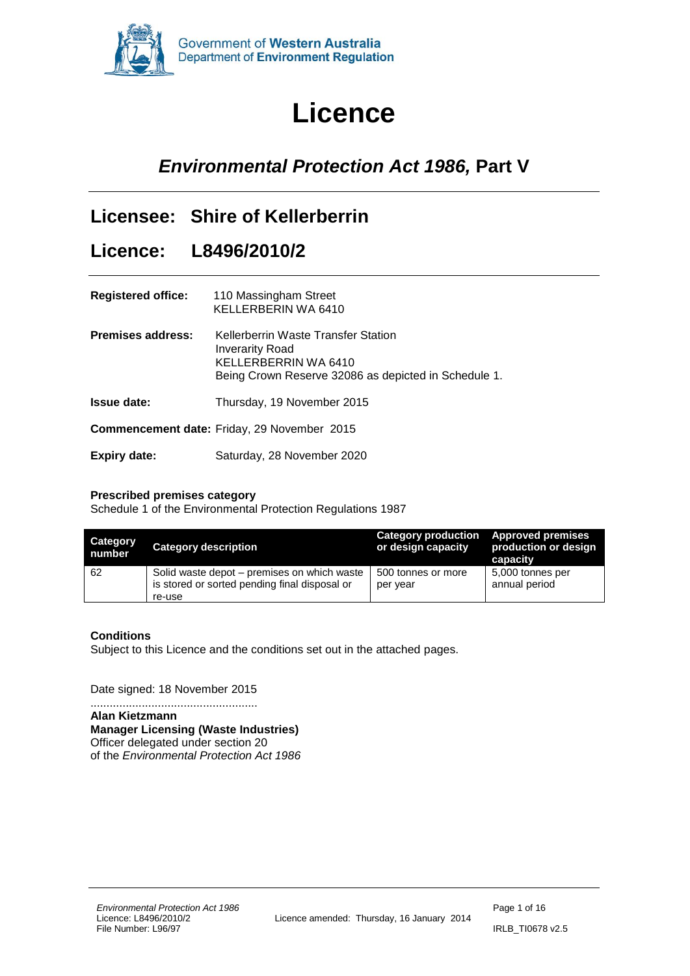<span id="page-0-0"></span>

# **Licence**

# *Environmental Protection Act 1986,* **Part V**

|  |  | Licensee: Shire of Kellerberrin |
|--|--|---------------------------------|
|--|--|---------------------------------|

### **Licence: L8496/2010/2**

| <b>Registered office:</b> | 110 Massingham Street<br>KELLERBERIN WA 6410                                                                                                  |
|---------------------------|-----------------------------------------------------------------------------------------------------------------------------------------------|
| <b>Premises address:</b>  | Kellerberrin Waste Transfer Station<br><b>Inverarity Road</b><br>KELLERBERRIN WA 6410<br>Being Crown Reserve 32086 as depicted in Schedule 1. |
| <b>Issue date:</b>        | Thursday, 19 November 2015                                                                                                                    |
|                           | <b>Commencement date:</b> Friday, 29 November 2015                                                                                            |
| <b>Expiry date:</b>       | Saturday, 28 November 2020                                                                                                                    |

### **Prescribed premises category**

Schedule 1 of the Environmental Protection Regulations 1987

| Category<br>number. | <b>Category description</b>                                                                            | <b>Category production</b><br>or design capacity | <b>Approved premises</b><br>production or design<br>capacity |
|---------------------|--------------------------------------------------------------------------------------------------------|--------------------------------------------------|--------------------------------------------------------------|
| 62                  | Solid waste depot – premises on which waste<br>is stored or sorted pending final disposal or<br>re-use | 500 tonnes or more<br>per year                   | 5,000 tonnes per<br>annual period                            |

### **Conditions**

Subject to this Licence and the conditions set out in the attached pages.

Date signed: 18 November 2015

.................................................... **Alan Kietzmann Manager Licensing (Waste Industries)** Officer delegated under section 20 of the *Environmental Protection Act 1986*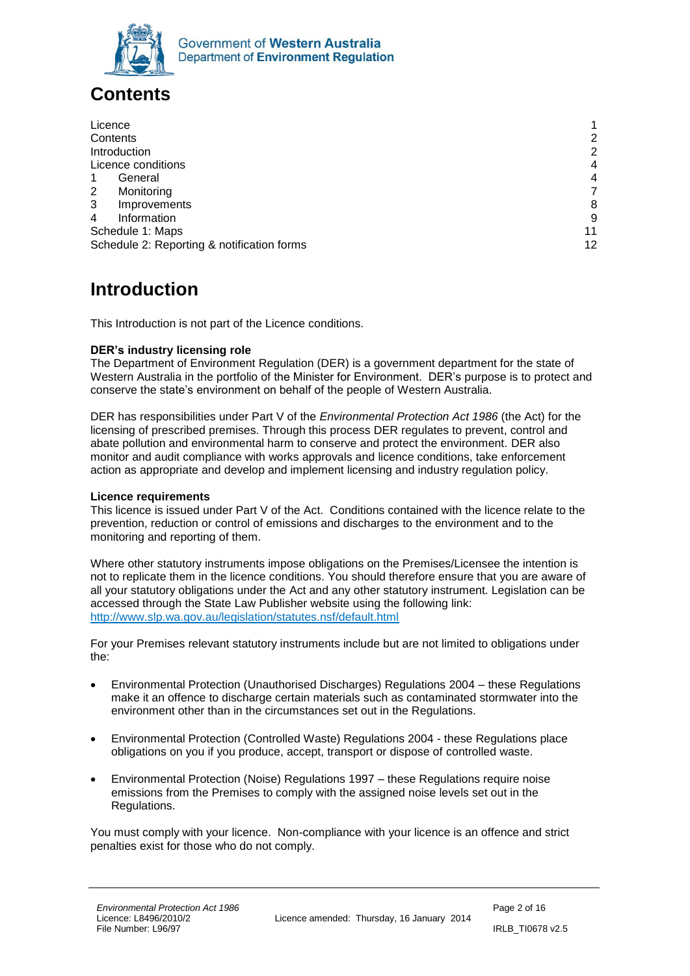

<span id="page-1-0"></span>

| Licence          |                                            |                |
|------------------|--------------------------------------------|----------------|
| Contents         |                                            | 2              |
|                  | Introduction                               | 2              |
|                  | Licence conditions                         | 4              |
|                  | General                                    | $\overline{4}$ |
| 2                | Monitoring                                 | 7              |
| 3                | Improvements                               | 8              |
| 4                | Information                                | 9              |
| Schedule 1: Maps |                                            | 11             |
|                  | Schedule 2: Reporting & notification forms | 12             |

## <span id="page-1-1"></span>**Introduction**

This Introduction is not part of the Licence conditions.

### **DER's industry licensing role**

The Department of Environment Regulation (DER) is a government department for the state of Western Australia in the portfolio of the Minister for Environment. DER's purpose is to protect and conserve the state's environment on behalf of the people of Western Australia.

DER has responsibilities under Part V of the *Environmental Protection Act 1986* (the Act) for the licensing of prescribed premises. Through this process DER regulates to prevent, control and abate pollution and environmental harm to conserve and protect the environment. DER also monitor and audit compliance with works approvals and licence conditions, take enforcement action as appropriate and develop and implement licensing and industry regulation policy.

### **Licence requirements**

This licence is issued under Part V of the Act. Conditions contained with the licence relate to the prevention, reduction or control of emissions and discharges to the environment and to the monitoring and reporting of them.

Where other statutory instruments impose obligations on the Premises/Licensee the intention is not to replicate them in the licence conditions. You should therefore ensure that you are aware of all your statutory obligations under the Act and any other statutory instrument. Legislation can be accessed through the State Law Publisher website using the following link: <http://www.slp.wa.gov.au/legislation/statutes.nsf/default.html>

For your Premises relevant statutory instruments include but are not limited to obligations under the:

- Environmental Protection (Unauthorised Discharges) Regulations 2004 these Regulations make it an offence to discharge certain materials such as contaminated stormwater into the environment other than in the circumstances set out in the Regulations.
- Environmental Protection (Controlled Waste) Regulations 2004 these Regulations place obligations on you if you produce, accept, transport or dispose of controlled waste.
- Environmental Protection (Noise) Regulations 1997 these Regulations require noise emissions from the Premises to comply with the assigned noise levels set out in the Regulations.

You must comply with your licence. Non-compliance with your licence is an offence and strict penalties exist for those who do not comply.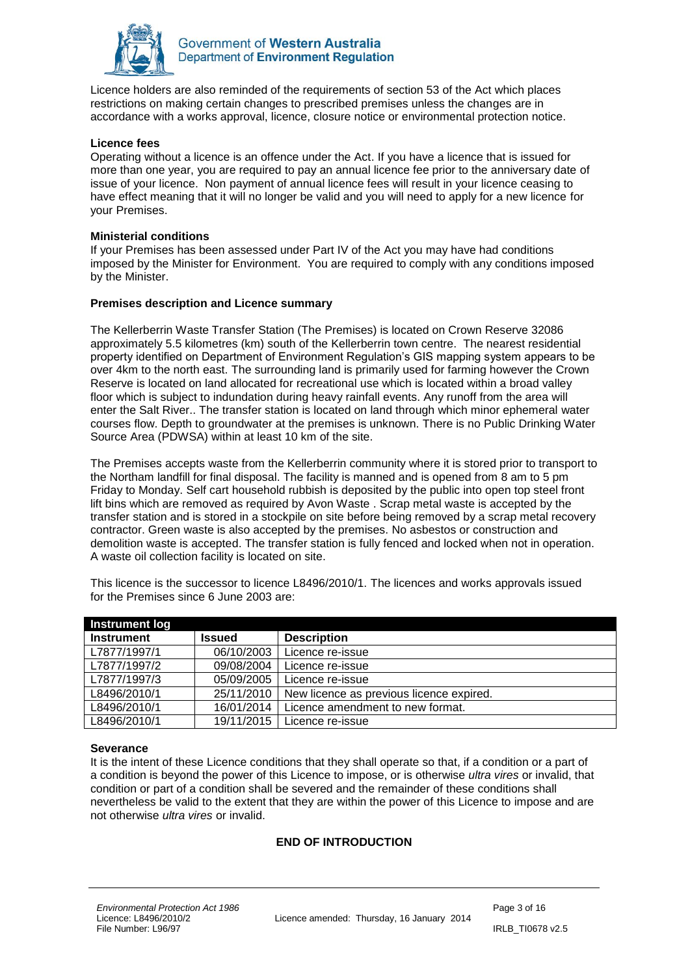

Licence holders are also reminded of the requirements of section 53 of the Act which places restrictions on making certain changes to prescribed premises unless the changes are in accordance with a works approval, licence, closure notice or environmental protection notice.

#### **Licence fees**

Operating without a licence is an offence under the Act. If you have a licence that is issued for more than one year, you are required to pay an annual licence fee prior to the anniversary date of issue of your licence. Non payment of annual licence fees will result in your licence ceasing to have effect meaning that it will no longer be valid and you will need to apply for a new licence for your Premises.

#### **Ministerial conditions**

If your Premises has been assessed under Part IV of the Act you may have had conditions imposed by the Minister for Environment. You are required to comply with any conditions imposed by the Minister.

#### **Premises description and Licence summary**

The Kellerberrin Waste Transfer Station (The Premises) is located on Crown Reserve 32086 approximately 5.5 kilometres (km) south of the Kellerberrin town centre. The nearest residential property identified on Department of Environment Regulation's GIS mapping system appears to be over 4km to the north east. The surrounding land is primarily used for farming however the Crown Reserve is located on land allocated for recreational use which is located within a broad valley floor which is subject to indundation during heavy rainfall events. Any runoff from the area will enter the Salt River.. The transfer station is located on land through which minor ephemeral water courses flow. Depth to groundwater at the premises is unknown. There is no Public Drinking Water Source Area (PDWSA) within at least 10 km of the site.

The Premises accepts waste from the Kellerberrin community where it is stored prior to transport to the Northam landfill for final disposal. The facility is manned and is opened from 8 am to 5 pm Friday to Monday. Self cart household rubbish is deposited by the public into open top steel front lift bins which are removed as required by Avon Waste . Scrap metal waste is accepted by the transfer station and is stored in a stockpile on site before being removed by a scrap metal recovery contractor. Green waste is also accepted by the premises. No asbestos or construction and demolition waste is accepted. The transfer station is fully fenced and locked when not in operation. A waste oil collection facility is located on site.

| Instrument log    |               |                                          |
|-------------------|---------------|------------------------------------------|
| <b>Instrument</b> | <b>Issued</b> | <b>Description</b>                       |
| L7877/1997/1      | 06/10/2003    | Licence re-issue                         |
| L7877/1997/2      | 09/08/2004    | Licence re-issue                         |
| L7877/1997/3      | 05/09/2005    | Licence re-issue                         |
| L8496/2010/1      | 25/11/2010    | New licence as previous licence expired. |
| L8496/2010/1      | 16/01/2014    | Licence amendment to new format.         |
| L8496/2010/1      | 19/11/2015    | Licence re-issue                         |

This licence is the successor to licence L8496/2010/1. The licences and works approvals issued for the Premises since 6 June 2003 are:

#### **Severance**

It is the intent of these Licence conditions that they shall operate so that, if a condition or a part of a condition is beyond the power of this Licence to impose, or is otherwise *ultra vires* or invalid, that condition or part of a condition shall be severed and the remainder of these conditions shall nevertheless be valid to the extent that they are within the power of this Licence to impose and are not otherwise *ultra vires* or invalid.

#### **END OF INTRODUCTION**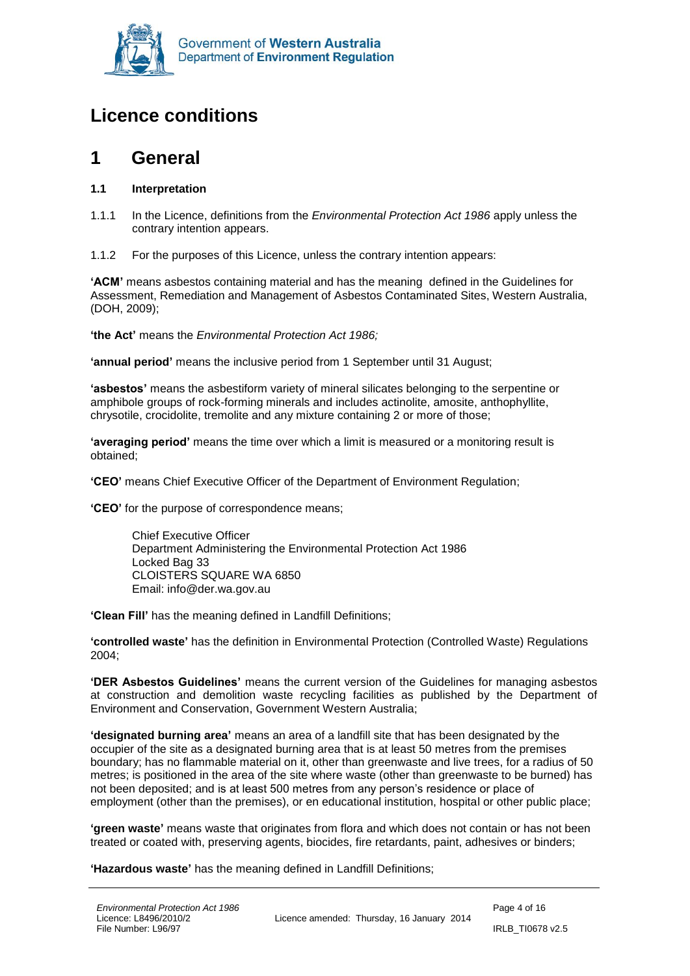

# <span id="page-3-0"></span>**Licence conditions**

### <span id="page-3-1"></span>**1 General**

### **1.1 Interpretation**

- 1.1.1 In the Licence, definitions from the *Environmental Protection Act 1986* apply unless the contrary intention appears.
- 1.1.2 For the purposes of this Licence, unless the contrary intention appears:

**'ACM'** means asbestos containing material and has the meaningdefined in the Guidelines for Assessment, Remediation and Management of Asbestos Contaminated Sites, Western Australia, (DOH, 2009);

**'the Act'** means the *Environmental Protection Act 1986;*

**'annual period'** means the inclusive period from 1 September until 31 August;

**'asbestos'** means the asbestiform variety of mineral silicates belonging to the serpentine or amphibole groups of rock-forming minerals and includes actinolite, amosite, anthophyllite, chrysotile, crocidolite, tremolite and any mixture containing 2 or more of those;

**'averaging period'** means the time over which a limit is measured or a monitoring result is obtained;

**'CEO'** means Chief Executive Officer of the Department of Environment Regulation;

**'CEO'** for the purpose of correspondence means;

Chief Executive Officer Department Administering the Environmental Protection Act 1986 Locked Bag 33 CLOISTERS SQUARE WA 6850 Email: info@der.wa.gov.au

**'Clean Fill'** has the meaning defined in Landfill Definitions;

**'controlled waste'** has the definition in Environmental Protection (Controlled Waste) Regulations 2004;

**'DER Asbestos Guidelines'** means the current version of the Guidelines for managing asbestos at construction and demolition waste recycling facilities as published by the Department of Environment and Conservation, Government Western Australia;

**'designated burning area'** means an area of a landfill site that has been designated by the occupier of the site as a designated burning area that is at least 50 metres from the premises boundary; has no flammable material on it, other than greenwaste and live trees, for a radius of 50 metres; is positioned in the area of the site where waste (other than greenwaste to be burned) has not been deposited; and is at least 500 metres from any person's residence or place of employment (other than the premises), or en educational institution, hospital or other public place;

**'green waste'** means waste that originates from flora and which does not contain or has not been treated or coated with, preserving agents, biocides, fire retardants, paint, adhesives or binders;

**'Hazardous waste'** has the meaning defined in Landfill Definitions;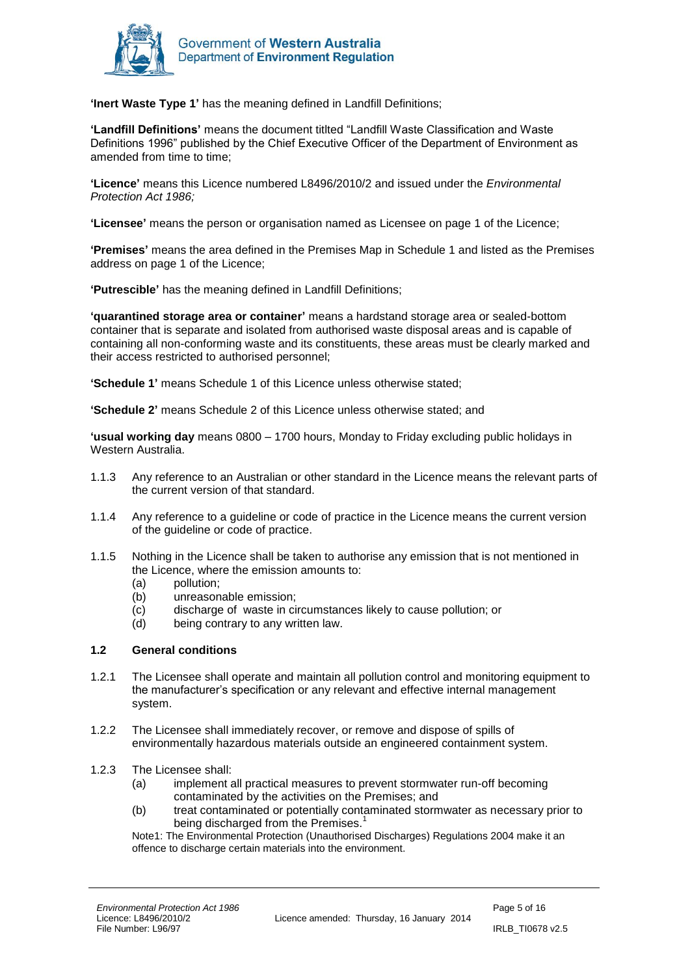

**'Inert Waste Type 1'** has the meaning defined in Landfill Definitions;

**'Landfill Definitions'** means the document titlted "Landfill Waste Classification and Waste Definitions 1996" published by the Chief Executive Officer of the Department of Environment as amended from time to time;

**'Licence'** means this Licence numbered L8496/2010/2 and issued under the *Environmental Protection Act 1986;*

**'Licensee'** means the person or organisation named as Licensee on page 1 of the Licence;

**'Premises'** means the area defined in the Premises Map in Schedule 1 and listed as the Premises address on page 1 of the Licence;

**'Putrescible'** has the meaning defined in Landfill Definitions;

**'quarantined storage area or container'** means a hardstand storage area or sealed-bottom container that is separate and isolated from authorised waste disposal areas and is capable of containing all non-conforming waste and its constituents, these areas must be clearly marked and their access restricted to authorised personnel;

**'Schedule 1'** means Schedule 1 of this Licence unless otherwise stated;

**'Schedule 2'** means Schedule 2 of this Licence unless otherwise stated; and

**'usual working day** means 0800 – 1700 hours, Monday to Friday excluding public holidays in Western Australia.

- 1.1.3 Any reference to an Australian or other standard in the Licence means the relevant parts of the current version of that standard.
- 1.1.4 Any reference to a guideline or code of practice in the Licence means the current version of the guideline or code of practice.
- 1.1.5 Nothing in the Licence shall be taken to authorise any emission that is not mentioned in the Licence, where the emission amounts to:
	- (a) pollution;
	- (b) unreasonable emission;
	- (c) discharge of waste in circumstances likely to cause pollution; or
	- (d) being contrary to any written law.

### **1.2 General conditions**

- 1.2.1 The Licensee shall operate and maintain all pollution control and monitoring equipment to the manufacturer's specification or any relevant and effective internal management system.
- 1.2.2 The Licensee shall immediately recover, or remove and dispose of spills of environmentally hazardous materials outside an engineered containment system.
- 1.2.3 The Licensee shall:
	- (a) implement all practical measures to prevent stormwater run-off becoming contaminated by the activities on the Premises; and
	- (b) treat contaminated or potentially contaminated stormwater as necessary prior to being discharged from the Premises.

Note1: The Environmental Protection (Unauthorised Discharges) Regulations 2004 make it an offence to discharge certain materials into the environment.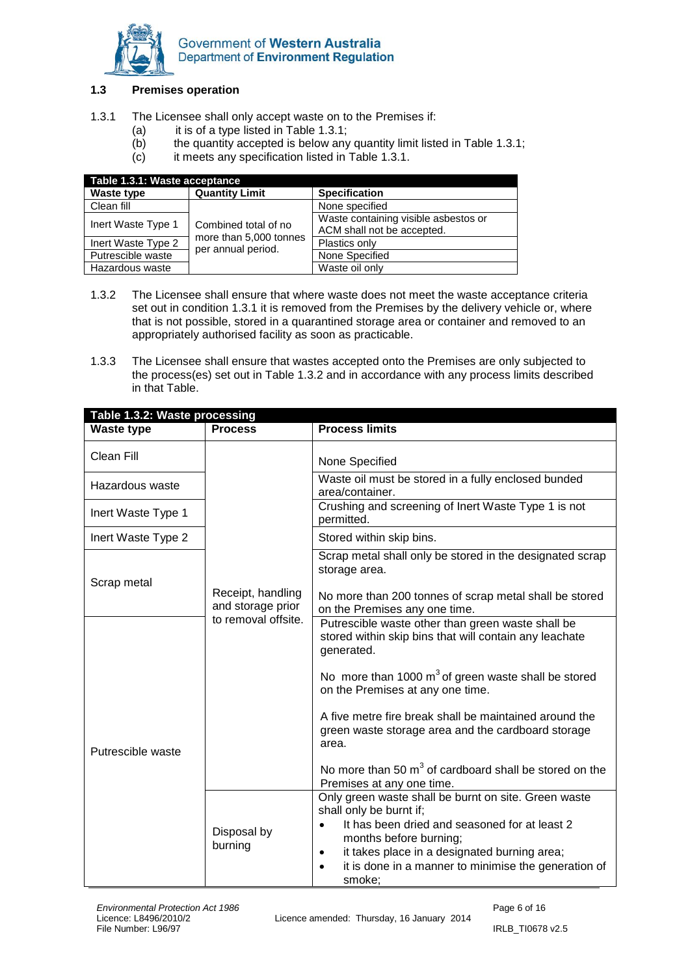

### **1.3 Premises operation**

- 1.3.1 The Licensee shall only accept waste on to the Premises if:
	- (a) it is of a type listed in Table  $1.3.1$ ;
	- (b) the quantity accepted is below any quantity limit listed in Table 1.3.1;
	- (c) it meets any specification listed in Table 1.3.1.

| Table 1.3.1: Waste acceptance |                                                                      |                                                                    |  |  |
|-------------------------------|----------------------------------------------------------------------|--------------------------------------------------------------------|--|--|
| <b>Waste type</b>             | <b>Quantity Limit</b>                                                | <b>Specification</b>                                               |  |  |
| Clean fill                    |                                                                      | None specified                                                     |  |  |
| Inert Waste Type 1            | Combined total of no<br>more than 5,000 tonnes<br>per annual period. | Waste containing visible asbestos or<br>ACM shall not be accepted. |  |  |
| Inert Waste Type 2            |                                                                      | Plastics only                                                      |  |  |
| Putrescible waste             |                                                                      | None Specified                                                     |  |  |
| Hazardous waste               |                                                                      | Waste oil only                                                     |  |  |

- 1.3.2 The Licensee shall ensure that where waste does not meet the waste acceptance criteria set out in condition 1.3.1 it is removed from the Premises by the delivery vehicle or, where that is not possible, stored in a quarantined storage area or container and removed to an appropriately authorised facility as soon as practicable.
- 1.3.3 The Licensee shall ensure that wastes accepted onto the Premises are only subjected to the process(es) set out in Table 1.3.2 and in accordance with any process limits described in that Table.

| Table 1.3.2: Waste processing |                                                               |                                                                                                                                                                                                                                                                                                                     |  |
|-------------------------------|---------------------------------------------------------------|---------------------------------------------------------------------------------------------------------------------------------------------------------------------------------------------------------------------------------------------------------------------------------------------------------------------|--|
| Waste type                    | <b>Process</b>                                                | <b>Process limits</b>                                                                                                                                                                                                                                                                                               |  |
| Clean Fill                    |                                                               | None Specified                                                                                                                                                                                                                                                                                                      |  |
| Hazardous waste               |                                                               | Waste oil must be stored in a fully enclosed bunded<br>area/container.                                                                                                                                                                                                                                              |  |
| Inert Waste Type 1            |                                                               | Crushing and screening of Inert Waste Type 1 is not<br>permitted.                                                                                                                                                                                                                                                   |  |
| Inert Waste Type 2            |                                                               | Stored within skip bins.                                                                                                                                                                                                                                                                                            |  |
| Scrap metal                   |                                                               | Scrap metal shall only be stored in the designated scrap<br>storage area.                                                                                                                                                                                                                                           |  |
|                               | Receipt, handling<br>and storage prior<br>to removal offsite. | No more than 200 tonnes of scrap metal shall be stored<br>on the Premises any one time.                                                                                                                                                                                                                             |  |
| Putrescible waste             |                                                               | Putrescible waste other than green waste shall be<br>stored within skip bins that will contain any leachate<br>generated.                                                                                                                                                                                           |  |
|                               |                                                               | No more than 1000 $m^3$ of green waste shall be stored<br>on the Premises at any one time.                                                                                                                                                                                                                          |  |
|                               |                                                               | A five metre fire break shall be maintained around the<br>green waste storage area and the cardboard storage<br>area.                                                                                                                                                                                               |  |
|                               |                                                               | No more than 50 $m3$ of cardboard shall be stored on the<br>Premises at any one time.                                                                                                                                                                                                                               |  |
|                               | Disposal by<br>burning                                        | Only green waste shall be burnt on site. Green waste<br>shall only be burnt if;<br>It has been dried and seasoned for at least 2<br>$\bullet$<br>months before burning;<br>it takes place in a designated burning area;<br>$\bullet$<br>it is done in a manner to minimise the generation of<br>$\bullet$<br>smoke; |  |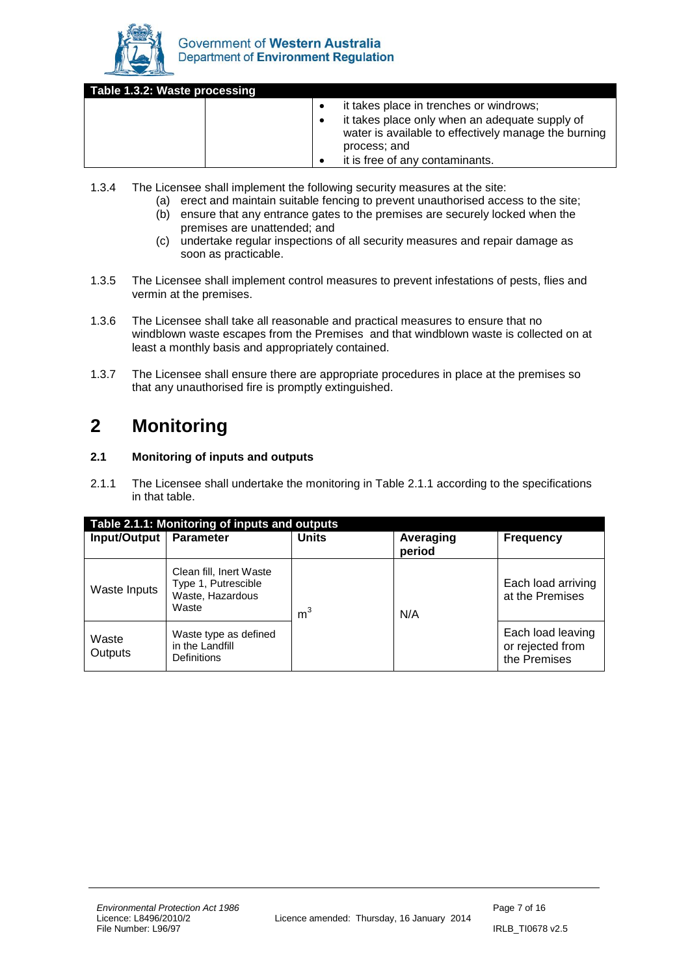

| Table 1.3.2: Waste processing |                                                                                                                        |
|-------------------------------|------------------------------------------------------------------------------------------------------------------------|
|                               | it takes place in trenches or windrows;                                                                                |
|                               | it takes place only when an adequate supply of<br>water is available to effectively manage the burning<br>process; and |
|                               | it is free of any contaminants.                                                                                        |

- 1.3.4 The Licensee shall implement the following security measures at the site:
	- (a) erect and maintain suitable fencing to prevent unauthorised access to the site;
	- (b) ensure that any entrance gates to the premises are securely locked when the premises are unattended; and
	- (c) undertake regular inspections of all security measures and repair damage as soon as practicable.
- 1.3.5 The Licensee shall implement control measures to prevent infestations of pests, flies and vermin at the premises.
- 1.3.6 The Licensee shall take all reasonable and practical measures to ensure that no windblown waste escapes from the Premises and that windblown waste is collected on at least a monthly basis and appropriately contained.
- 1.3.7 The Licensee shall ensure there are appropriate procedures in place at the premises so that any unauthorised fire is promptly extinguished.

# <span id="page-6-0"></span>**2 Monitoring**

### **2.1 Monitoring of inputs and outputs**

2.1.1 The Licensee shall undertake the monitoring in Table 2.1.1 according to the specifications in that table.

| Table 2.1.1: Monitoring of inputs and outputs |                                                                             |                |                     |                                                       |
|-----------------------------------------------|-----------------------------------------------------------------------------|----------------|---------------------|-------------------------------------------------------|
| Input/Output                                  | <b>Parameter</b>                                                            | <b>Units</b>   | Averaging<br>period | <b>Frequency</b>                                      |
| Waste Inputs                                  | Clean fill, Inert Waste<br>Type 1, Putrescible<br>Waste, Hazardous<br>Waste | m <sup>3</sup> | N/A                 | Each load arriving<br>at the Premises                 |
| Waste<br>Outputs                              | Waste type as defined<br>in the Landfill<br><b>Definitions</b>              |                |                     | Each load leaving<br>or rejected from<br>the Premises |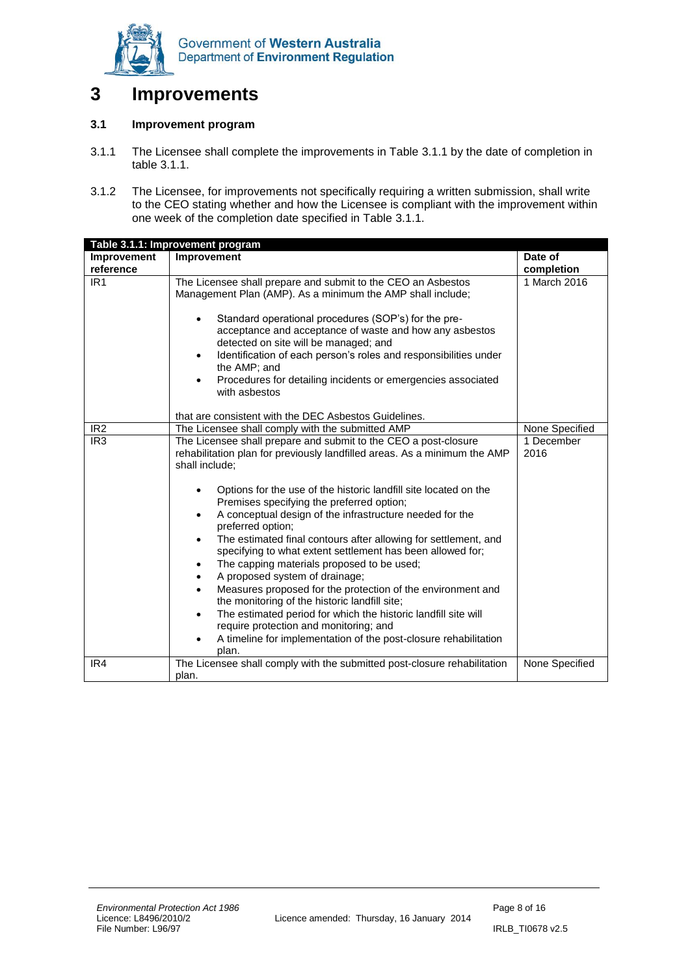

### <span id="page-7-0"></span>**3 Improvements**

### **3.1 Improvement program**

- 3.1.1 The Licensee shall complete the improvements in Table 3.1.1 by the date of completion in table 3.1.1.
- 3.1.2 The Licensee, for improvements not specifically requiring a written submission, shall write to the CEO stating whether and how the Licensee is compliant with the improvement within one week of the completion date specified in Table 3.1.1.

|                          | Table 3.1.1: Improvement program                                                                                                                                                                                                                                                                                                                                                                                                                                                                                                                                                                                                                                                                                                                                                                                                                                                                                                                                                           |                       |
|--------------------------|--------------------------------------------------------------------------------------------------------------------------------------------------------------------------------------------------------------------------------------------------------------------------------------------------------------------------------------------------------------------------------------------------------------------------------------------------------------------------------------------------------------------------------------------------------------------------------------------------------------------------------------------------------------------------------------------------------------------------------------------------------------------------------------------------------------------------------------------------------------------------------------------------------------------------------------------------------------------------------------------|-----------------------|
| Improvement<br>reference | Improvement                                                                                                                                                                                                                                                                                                                                                                                                                                                                                                                                                                                                                                                                                                                                                                                                                                                                                                                                                                                | Date of<br>completion |
| IR <sub>1</sub>          | The Licensee shall prepare and submit to the CEO an Asbestos<br>Management Plan (AMP). As a minimum the AMP shall include;<br>Standard operational procedures (SOP's) for the pre-<br>$\bullet$<br>acceptance and acceptance of waste and how any asbestos<br>detected on site will be managed; and<br>Identification of each person's roles and responsibilities under<br>$\bullet$<br>the AMP; and<br>Procedures for detailing incidents or emergencies associated<br>$\bullet$<br>with asbestos<br>that are consistent with the DEC Asbestos Guidelines.                                                                                                                                                                                                                                                                                                                                                                                                                                | 1 March 2016          |
| IR <sub>2</sub>          | The Licensee shall comply with the submitted AMP                                                                                                                                                                                                                                                                                                                                                                                                                                                                                                                                                                                                                                                                                                                                                                                                                                                                                                                                           | None Specified        |
| IR <sub>3</sub>          | The Licensee shall prepare and submit to the CEO a post-closure<br>rehabilitation plan for previously landfilled areas. As a minimum the AMP<br>shall include;<br>Options for the use of the historic landfill site located on the<br>$\bullet$<br>Premises specifying the preferred option;<br>A conceptual design of the infrastructure needed for the<br>$\bullet$<br>preferred option;<br>The estimated final contours after allowing for settlement, and<br>$\bullet$<br>specifying to what extent settlement has been allowed for;<br>The capping materials proposed to be used;<br>٠<br>A proposed system of drainage;<br>$\bullet$<br>Measures proposed for the protection of the environment and<br>$\bullet$<br>the monitoring of the historic landfill site;<br>The estimated period for which the historic landfill site will<br>$\bullet$<br>require protection and monitoring; and<br>A timeline for implementation of the post-closure rehabilitation<br>$\bullet$<br>plan. | 1 December<br>2016    |
| IR4                      | The Licensee shall comply with the submitted post-closure rehabilitation<br>plan.                                                                                                                                                                                                                                                                                                                                                                                                                                                                                                                                                                                                                                                                                                                                                                                                                                                                                                          | None Specified        |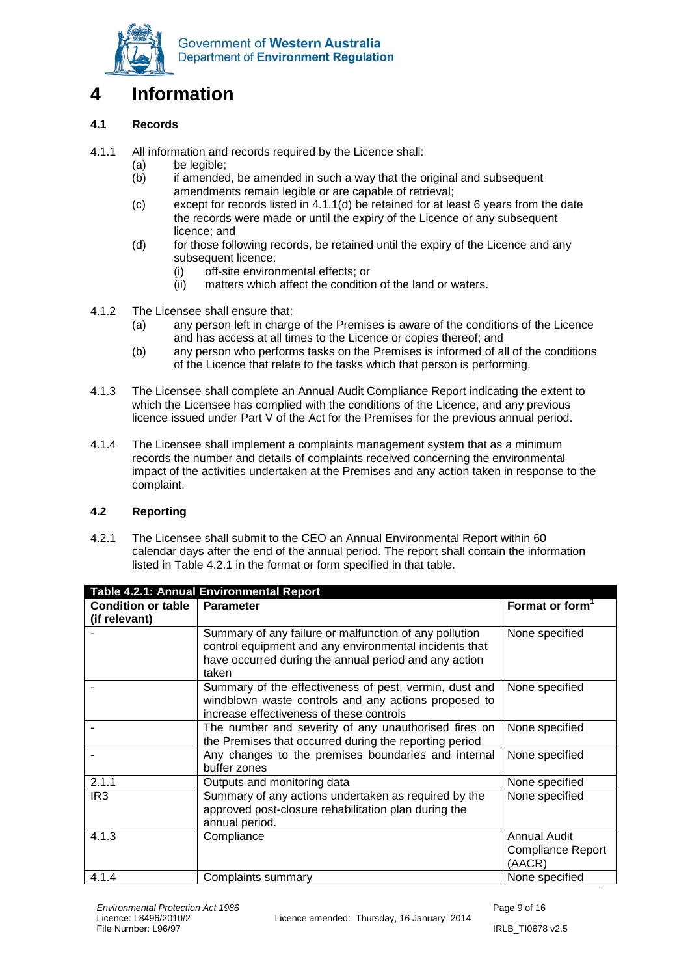

# <span id="page-8-0"></span>**4 Information**

### **4.1 Records**

- 4.1.1 All information and records required by the Licence shall:
	- (a) be legible;
	- (b) if amended, be amended in such a way that the original and subsequent amendments remain legible or are capable of retrieval;
	- (c) except for records listed in 4.1.1(d) be retained for at least 6 years from the date the records were made or until the expiry of the Licence or any subsequent licence; and
	- (d) for those following records, be retained until the expiry of the Licence and any subsequent licence:
		- (i) off-site environmental effects; or<br>(ii) matters which affect the condition
		- matters which affect the condition of the land or waters.
- 4.1.2 The Licensee shall ensure that:
	- (a) any person left in charge of the Premises is aware of the conditions of the Licence and has access at all times to the Licence or copies thereof; and
	- (b) any person who performs tasks on the Premises is informed of all of the conditions of the Licence that relate to the tasks which that person is performing.
- 4.1.3 The Licensee shall complete an Annual Audit Compliance Report indicating the extent to which the Licensee has complied with the conditions of the Licence, and any previous licence issued under Part V of the Act for the Premises for the previous annual period.
- 4.1.4 The Licensee shall implement a complaints management system that as a minimum records the number and details of complaints received concerning the environmental impact of the activities undertaken at the Premises and any action taken in response to the complaint.

### **4.2 Reporting**

4.2.1 The Licensee shall submit to the CEO an Annual Environmental Report within 60 calendar days after the end of the annual period. The report shall contain the information listed in Table 4.2.1 in the format or form specified in that table.

| Table 4.2.1: Annual Environmental Report |                                                                |                             |  |
|------------------------------------------|----------------------------------------------------------------|-----------------------------|--|
| <b>Condition or table</b>                | <b>Parameter</b>                                               | Format or form <sup>1</sup> |  |
| (if relevant)                            |                                                                |                             |  |
|                                          | Summary of any failure or malfunction of any pollution         | None specified              |  |
|                                          | control equipment and any environmental incidents that         |                             |  |
|                                          | have occurred during the annual period and any action<br>taken |                             |  |
|                                          | Summary of the effectiveness of pest, vermin, dust and         | None specified              |  |
|                                          | windblown waste controls and any actions proposed to           |                             |  |
|                                          | increase effectiveness of these controls                       |                             |  |
|                                          | The number and severity of any unauthorised fires on           | None specified              |  |
|                                          | the Premises that occurred during the reporting period         |                             |  |
|                                          | Any changes to the premises boundaries and internal            | None specified              |  |
|                                          | buffer zones                                                   |                             |  |
| 2.1.1                                    | Outputs and monitoring data                                    | None specified              |  |
| IR <sub>3</sub>                          | Summary of any actions undertaken as required by the           | None specified              |  |
|                                          | approved post-closure rehabilitation plan during the           |                             |  |
|                                          | annual period.                                                 |                             |  |
| 4.1.3                                    | Compliance                                                     | Annual Audit                |  |
|                                          |                                                                | Compliance Report           |  |
|                                          |                                                                | (AACR)                      |  |
| 4.1.4                                    | Complaints summary                                             | None specified              |  |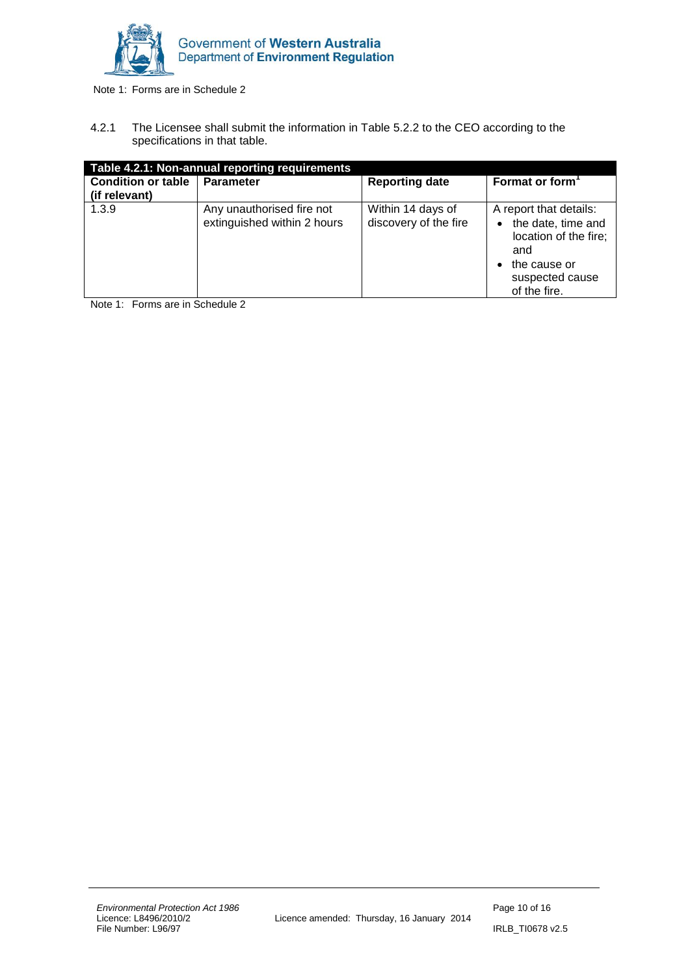

Note 1: Forms are in Schedule 2

4.2.1 The Licensee shall submit the information in Table 5.2.2 to the CEO according to the specifications in that table.

| Table 4.2.1: Non-annual reporting requirements |                                                          |                                            |                                                                                                                                              |  |
|------------------------------------------------|----------------------------------------------------------|--------------------------------------------|----------------------------------------------------------------------------------------------------------------------------------------------|--|
| <b>Condition or table</b><br>(if relevant)     | <b>Parameter</b>                                         | <b>Reporting date</b>                      | Format or form <sup>1</sup>                                                                                                                  |  |
| 1.3.9                                          | Any unauthorised fire not<br>extinguished within 2 hours | Within 14 days of<br>discovery of the fire | A report that details:<br>the date, time and<br>$\bullet$<br>location of the fire;<br>and<br>the cause or<br>suspected cause<br>of the fire. |  |

Note 1: Forms are in Schedule 2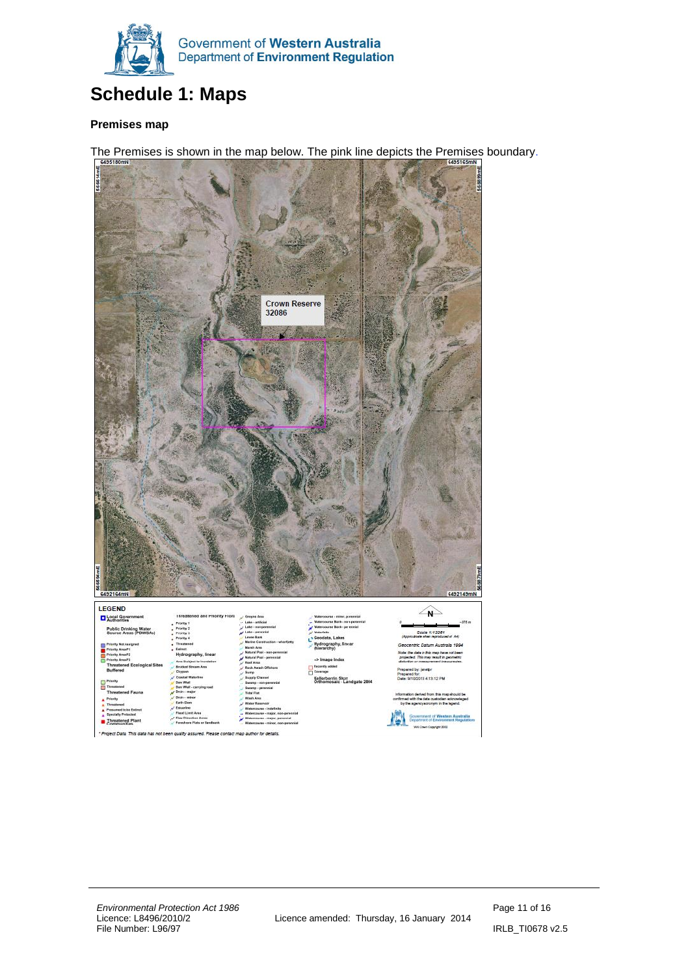

# <span id="page-10-0"></span>**Schedule 1: Maps**

### **Premises map**

The Premises is shown in the map below. The pink line depicts the Premises boundary.

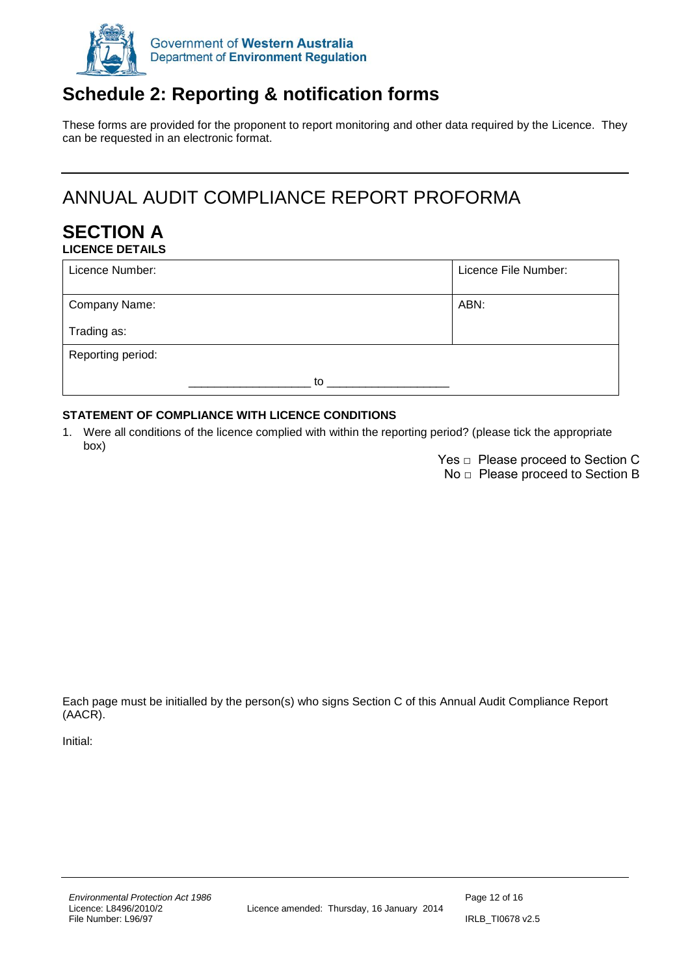

# <span id="page-11-0"></span>**Schedule 2: Reporting & notification forms**

These forms are provided for the proponent to report monitoring and other data required by the Licence. They can be requested in an electronic format.

# ANNUAL AUDIT COMPLIANCE REPORT PROFORMA

### **SECTION A LICENCE DETAILS**

| Licence Number:   |    | Licence File Number: |
|-------------------|----|----------------------|
| Company Name:     |    | ABN:                 |
| Trading as:       |    |                      |
| Reporting period: |    |                      |
|                   | to |                      |

### **STATEMENT OF COMPLIANCE WITH LICENCE CONDITIONS**

1. Were all conditions of the licence complied with within the reporting period? (please tick the appropriate box)

Yes □ Please proceed to Section C No □ Please proceed to Section B

Each page must be initialled by the person(s) who signs Section C of this Annual Audit Compliance Report (AACR).

Initial: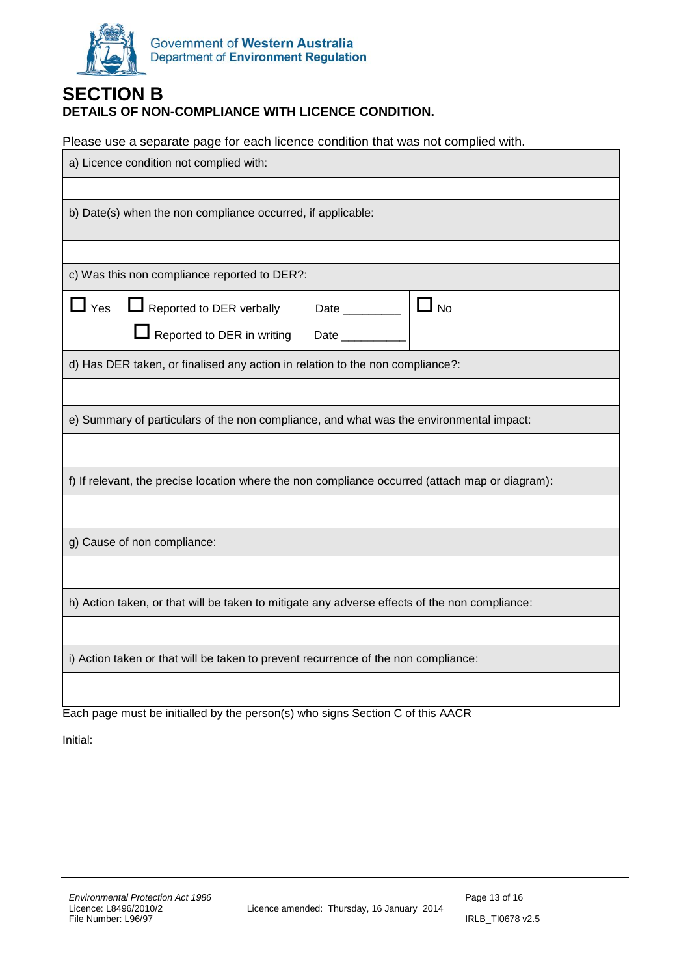

### **SECTION B DETAILS OF NON-COMPLIANCE WITH LICENCE CONDITION.**

Please use a separate page for each licence condition that was not complied with.

| a) Licence condition not complied with:                                                         |  |  |  |
|-------------------------------------------------------------------------------------------------|--|--|--|
|                                                                                                 |  |  |  |
| b) Date(s) when the non compliance occurred, if applicable:                                     |  |  |  |
|                                                                                                 |  |  |  |
| c) Was this non compliance reported to DER?:                                                    |  |  |  |
| Reported to DER verbally<br>$\Box$ Yes<br>Date _______________   $\bigsqcup$ No                 |  |  |  |
| Reported to DER in writing                                                                      |  |  |  |
| d) Has DER taken, or finalised any action in relation to the non compliance?:                   |  |  |  |
|                                                                                                 |  |  |  |
| e) Summary of particulars of the non compliance, and what was the environmental impact:         |  |  |  |
|                                                                                                 |  |  |  |
| f) If relevant, the precise location where the non compliance occurred (attach map or diagram): |  |  |  |
|                                                                                                 |  |  |  |
| g) Cause of non compliance:                                                                     |  |  |  |
|                                                                                                 |  |  |  |
| h) Action taken, or that will be taken to mitigate any adverse effects of the non compliance:   |  |  |  |
|                                                                                                 |  |  |  |
| i) Action taken or that will be taken to prevent recurrence of the non compliance:              |  |  |  |
|                                                                                                 |  |  |  |

Each page must be initialled by the person(s) who signs Section C of this AACR

Initial: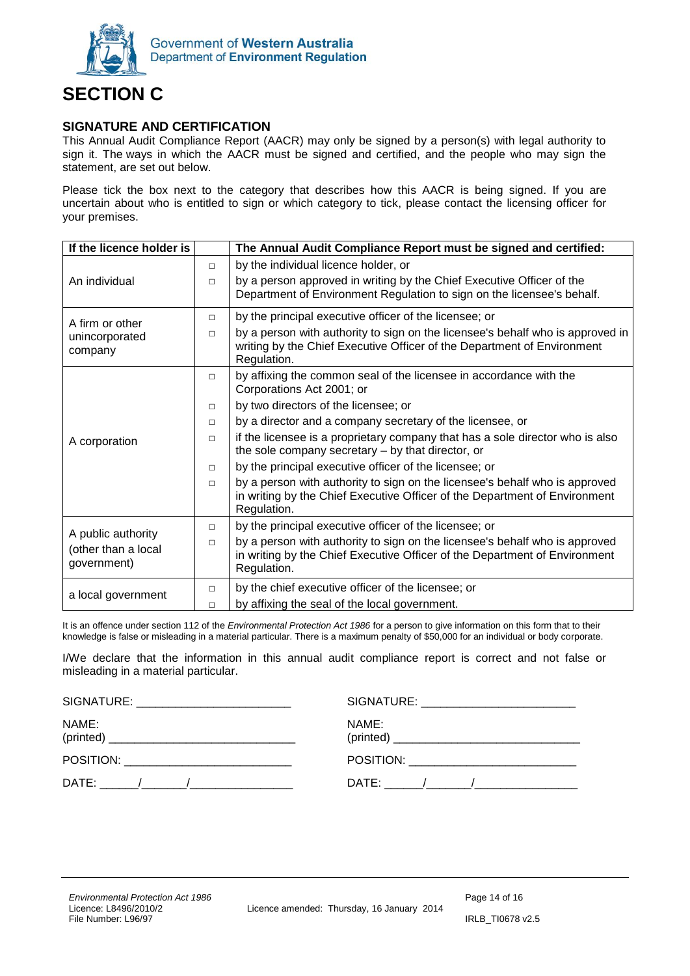

### **SIGNATURE AND CERTIFICATION**

This Annual Audit Compliance Report (AACR) may only be signed by a person(s) with legal authority to sign it. The ways in which the AACR must be signed and certified, and the people who may sign the statement, are set out below.

Please tick the box next to the category that describes how this AACR is being signed. If you are uncertain about who is entitled to sign or which category to tick, please contact the licensing officer for your premises.

| If the licence holder is                                 |        | The Annual Audit Compliance Report must be signed and certified:                                                                                                         |  |  |
|----------------------------------------------------------|--------|--------------------------------------------------------------------------------------------------------------------------------------------------------------------------|--|--|
|                                                          | $\Box$ | by the individual licence holder, or                                                                                                                                     |  |  |
| An individual                                            | $\Box$ | by a person approved in writing by the Chief Executive Officer of the<br>Department of Environment Regulation to sign on the licensee's behalf.                          |  |  |
| A firm or other                                          | $\Box$ | by the principal executive officer of the licensee; or                                                                                                                   |  |  |
| unincorporated<br>company                                | $\Box$ | by a person with authority to sign on the licensee's behalf who is approved in<br>writing by the Chief Executive Officer of the Department of Environment<br>Regulation. |  |  |
|                                                          | $\Box$ | by affixing the common seal of the licensee in accordance with the<br>Corporations Act 2001; or                                                                          |  |  |
|                                                          | $\Box$ | by two directors of the licensee; or                                                                                                                                     |  |  |
|                                                          | $\Box$ | by a director and a company secretary of the licensee, or                                                                                                                |  |  |
| A corporation                                            | $\Box$ | if the licensee is a proprietary company that has a sole director who is also<br>the sole company secretary – by that director, or                                       |  |  |
|                                                          | $\Box$ | by the principal executive officer of the licensee; or                                                                                                                   |  |  |
|                                                          | $\Box$ | by a person with authority to sign on the licensee's behalf who is approved<br>in writing by the Chief Executive Officer of the Department of Environment<br>Regulation. |  |  |
|                                                          | $\Box$ | by the principal executive officer of the licensee; or                                                                                                                   |  |  |
| A public authority<br>(other than a local<br>government) | $\Box$ | by a person with authority to sign on the licensee's behalf who is approved<br>in writing by the Chief Executive Officer of the Department of Environment<br>Regulation. |  |  |
| a local government                                       | $\Box$ | by the chief executive officer of the licensee; or                                                                                                                       |  |  |
|                                                          | $\Box$ | by affixing the seal of the local government.                                                                                                                            |  |  |

It is an offence under section 112 of the *Environmental Protection Act 1986* for a person to give information on this form that to their knowledge is false or misleading in a material particular. There is a maximum penalty of \$50,000 for an individual or body corporate.

I/We declare that the information in this annual audit compliance report is correct and not false or misleading in a material particular.

| SIGNATURE: __________________________                                                                                                                                                                                          | SIGNATURE: _____________________________ |
|--------------------------------------------------------------------------------------------------------------------------------------------------------------------------------------------------------------------------------|------------------------------------------|
| NAME:                                                                                                                                                                                                                          | NAME:                                    |
| POSITION: Network and the settlement of the settlement of the settlement of the settlement of the settlement of the settlement of the settlement of the settlement of the settlement of the settlement of the settlement of th |                                          |
|                                                                                                                                                                                                                                | DATE: <u>/_____/____________</u>         |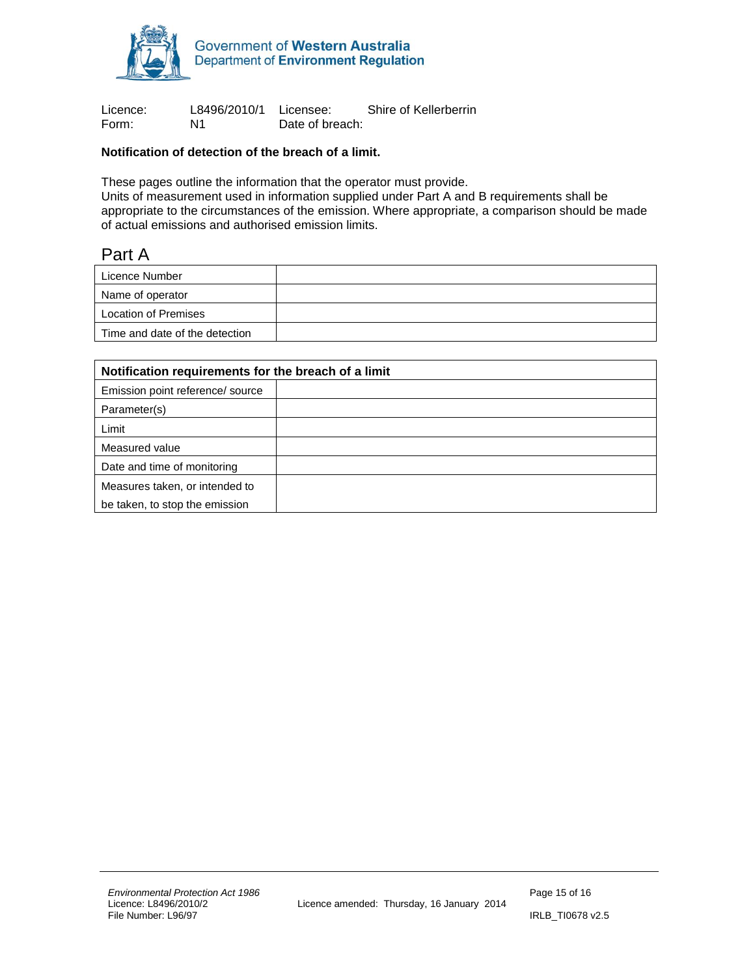

Licence: L8496/2010/1 Licensee: Shire of Kellerberrin<br>Form: N1 Date of breach: N1 Date of breach:

#### **Notification of detection of the breach of a limit.**

These pages outline the information that the operator must provide.

Units of measurement used in information supplied under Part A and B requirements shall be appropriate to the circumstances of the emission. Where appropriate, a comparison should be made of actual emissions and authorised emission limits.

### Part A

| Licence Number                 |  |
|--------------------------------|--|
| Name of operator               |  |
| <b>Location of Premises</b>    |  |
| Time and date of the detection |  |

| Notification requirements for the breach of a limit |  |  |
|-----------------------------------------------------|--|--|
| Emission point reference/ source                    |  |  |
| Parameter(s)                                        |  |  |
| Limit                                               |  |  |
| Measured value                                      |  |  |
| Date and time of monitoring                         |  |  |
| Measures taken, or intended to                      |  |  |
| be taken, to stop the emission                      |  |  |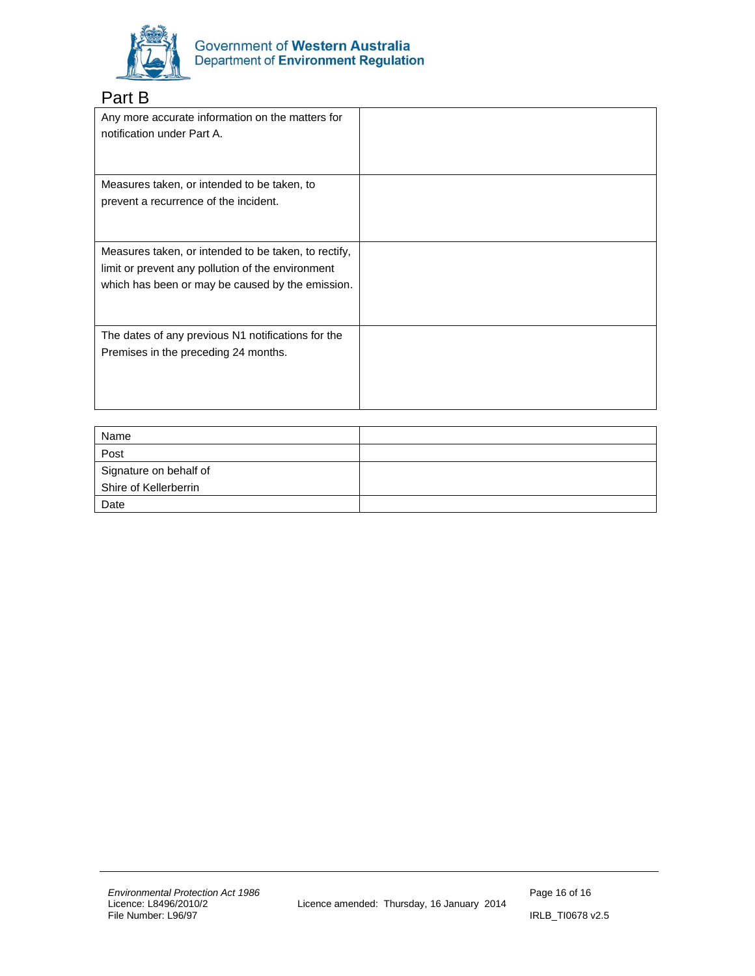

### Part B

| Any more accurate information on the matters for<br>notification under Part A. |  |
|--------------------------------------------------------------------------------|--|
| Measures taken, or intended to be taken, to                                    |  |
| prevent a recurrence of the incident.                                          |  |
|                                                                                |  |
| Measures taken, or intended to be taken, to rectify,                           |  |
| limit or prevent any pollution of the environment                              |  |
| which has been or may be caused by the emission.                               |  |
|                                                                                |  |
| The dates of any previous N1 notifications for the                             |  |
| Premises in the preceding 24 months.                                           |  |
|                                                                                |  |
|                                                                                |  |
|                                                                                |  |

| Name                   |  |
|------------------------|--|
| Post                   |  |
| Signature on behalf of |  |
| Shire of Kellerberrin  |  |
| Date                   |  |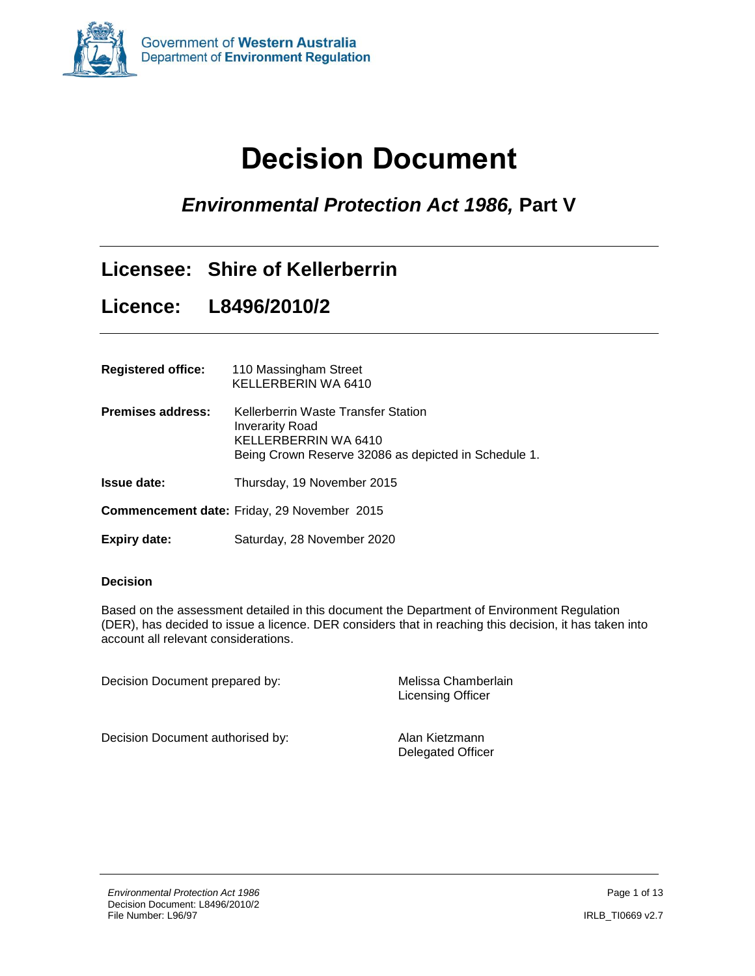

# **Decision Document**

# <span id="page-16-0"></span>*Environmental Protection Act 1986,* **Part V**

### **Licensee: Shire of Kellerberrin**

### **Licence: L8496/2010/2**

| <b>Registered office:</b> | 110 Massingham Street<br>KELLERBERIN WA 6410                                                                                                  |
|---------------------------|-----------------------------------------------------------------------------------------------------------------------------------------------|
| Premises address:         | Kellerberrin Waste Transfer Station<br><b>Inverarity Road</b><br>KELLERBERRIN WA 6410<br>Being Crown Reserve 32086 as depicted in Schedule 1. |
| <b>Issue date:</b>        | Thursday, 19 November 2015                                                                                                                    |

**Commencement date:** Friday, 29 November 2015

**Expiry date:** Saturday, 28 November 2020

#### **Decision**

Based on the assessment detailed in this document the Department of Environment Regulation (DER), has decided to issue a licence. DER considers that in reaching this decision, it has taken into account all relevant considerations.

Decision Document prepared by: Melissa Chamberlain

Licensing Officer

Decision Document authorised by: Alan Kietzmann

Delegated Officer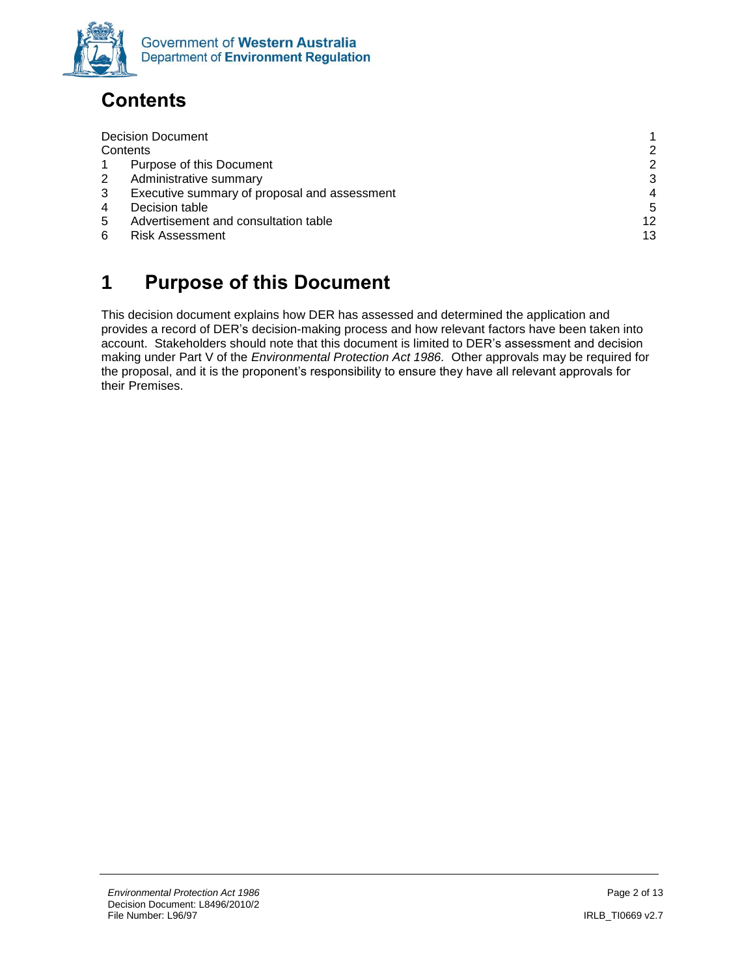

# <span id="page-17-0"></span>**Contents**

| <b>Decision Document</b> |                                              |                |
|--------------------------|----------------------------------------------|----------------|
| Contents                 |                                              | 2              |
|                          | Purpose of this Document                     | $\mathcal{P}$  |
|                          | Administrative summary                       | 3              |
|                          | Executive summary of proposal and assessment | $\overline{4}$ |
|                          | Decision table                               | 5              |
| 5                        | Advertisement and consultation table         | 12             |
|                          | <b>Risk Assessment</b>                       | 13             |

# <span id="page-17-1"></span>**1 Purpose of this Document**

This decision document explains how DER has assessed and determined the application and provides a record of DER's decision-making process and how relevant factors have been taken into account. Stakeholders should note that this document is limited to DER's assessment and decision making under Part V of the *Environmental Protection Act 1986.* Other approvals may be required for the proposal, and it is the proponent's responsibility to ensure they have all relevant approvals for their Premises.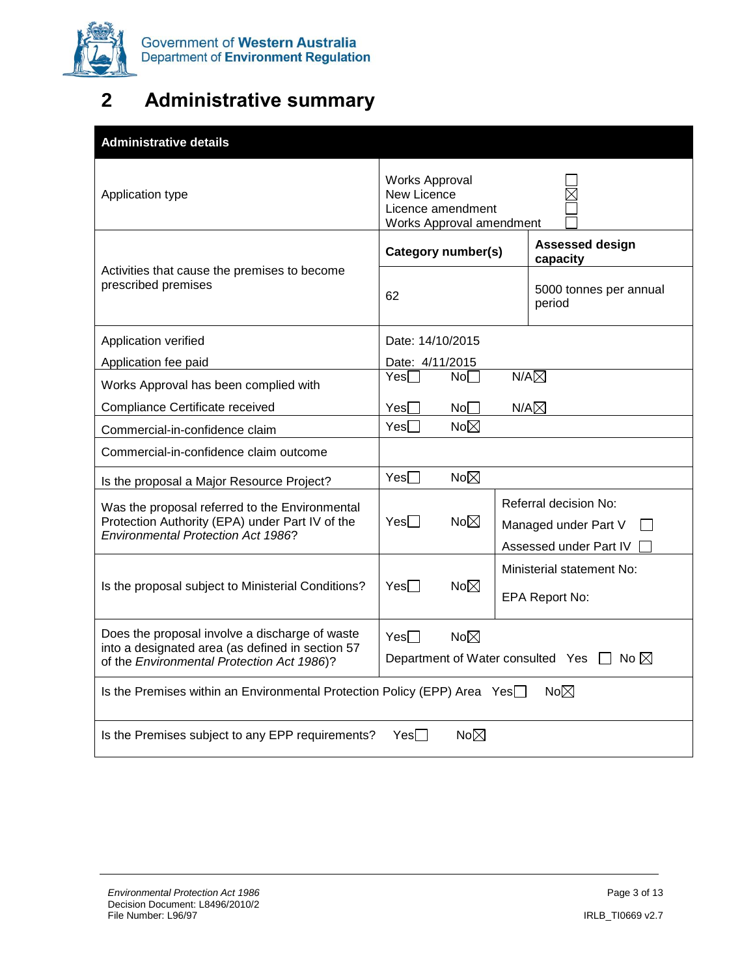

# <span id="page-18-0"></span>**2 Administrative summary**

| <b>Administrative details</b>                                                                                                                    |                                                                                       |                                                                           |  |  |
|--------------------------------------------------------------------------------------------------------------------------------------------------|---------------------------------------------------------------------------------------|---------------------------------------------------------------------------|--|--|
| Application type                                                                                                                                 | Works Approval<br><b>New Licence</b><br>Licence amendment<br>Works Approval amendment |                                                                           |  |  |
|                                                                                                                                                  | Category number(s)                                                                    | <b>Assessed design</b><br>capacity                                        |  |  |
| Activities that cause the premises to become<br>prescribed premises                                                                              | 62                                                                                    | 5000 tonnes per annual<br>period                                          |  |  |
| Application verified                                                                                                                             | Date: 14/10/2015                                                                      |                                                                           |  |  |
| Application fee paid                                                                                                                             | Date: 4/11/2015                                                                       |                                                                           |  |  |
| Works Approval has been complied with                                                                                                            | Yesl l<br>No <sub>1</sub>                                                             | $N/A\not\!\!\!\!\!\times$                                                 |  |  |
| Compliance Certificate received                                                                                                                  | Yes<br>No <sub>1</sub>                                                                | $N/A\boxtimes$                                                            |  |  |
| Commercial-in-confidence claim                                                                                                                   | No $\boxtimes$<br>$Yes \Box$                                                          |                                                                           |  |  |
| Commercial-in-confidence claim outcome                                                                                                           |                                                                                       |                                                                           |  |  |
| Is the proposal a Major Resource Project?                                                                                                        | No $\boxtimes$<br>Yes                                                                 |                                                                           |  |  |
| Was the proposal referred to the Environmental<br>Protection Authority (EPA) under Part IV of the<br><b>Environmental Protection Act 1986?</b>   | $No\boxtimes$<br>$Yes \Box$                                                           | Referral decision No:<br>Managed under Part V<br>Assessed under Part IV [ |  |  |
|                                                                                                                                                  |                                                                                       | Ministerial statement No:                                                 |  |  |
| Is the proposal subject to Ministerial Conditions?                                                                                               | $No\neg\neg$<br>Yesl I                                                                | EPA Report No:                                                            |  |  |
| Does the proposal involve a discharge of waste<br>into a designated area (as defined in section 57<br>of the Environmental Protection Act 1986)? | $No\neg\neg$<br>$Yes \Box$                                                            | Department of Water consulted Yes $\Box$ No $\boxtimes$                   |  |  |
| No $\boxtimes$<br>Is the Premises within an Environmental Protection Policy (EPP) Area Yes                                                       |                                                                                       |                                                                           |  |  |
| Is the Premises subject to any EPP requirements?                                                                                                 | No $\boxtimes$<br>Yes                                                                 |                                                                           |  |  |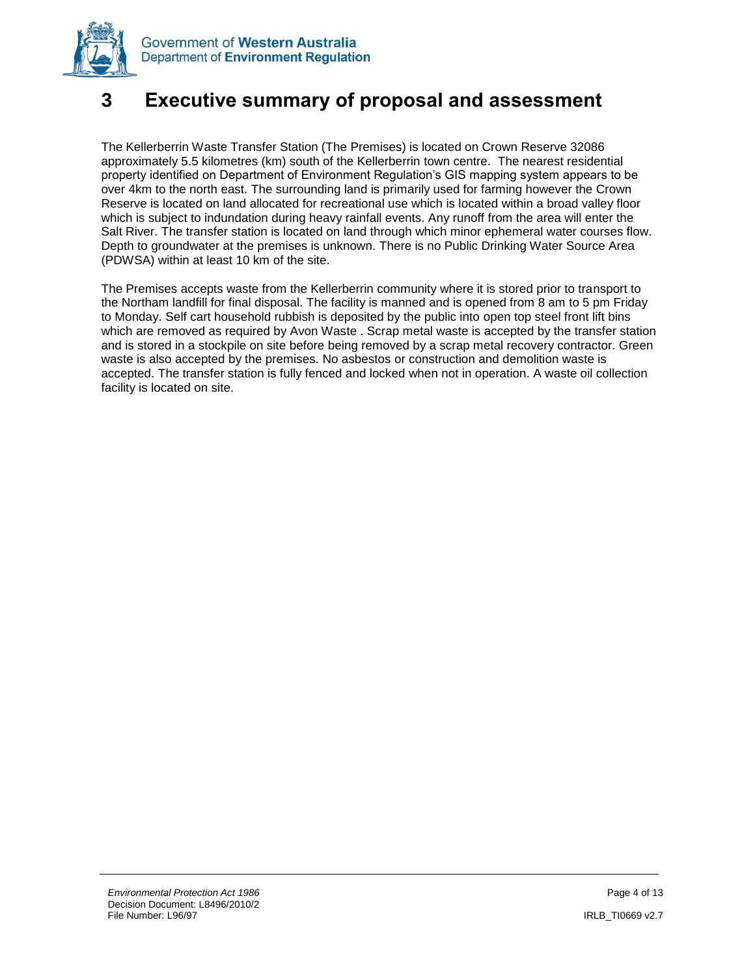



### <span id="page-19-0"></span>**3 Executive summary of proposal and assessment**

The Kellerberrin Waste Transfer Station (The Premises) is located on Crown Reserve 32086 approximately 5.5 kilometres (km) south of the Kellerberrin town centre. The nearest residential property identified on Department of Environment Regulation's GIS mapping system appears to be over 4km to the north east. The surrounding land is primarily used for farming however the Crown Reserve is located on land allocated for recreational use which is located within a broad valley floor which is subject to indundation during heavy rainfall events. Any runoff from the area will enter the Salt River. The transfer station is located on land through which minor ephemeral water courses flow. Depth to groundwater at the premises is unknown. There is no Public Drinking Water Source Area (PDWSA) within at least 10 km of the site.

The Premises accepts waste from the Kellerberrin community where it is stored prior to transport to the Northam landfill for final disposal. The facility is manned and is opened from 8 am to 5 pm Friday to Monday. Self cart household rubbish is deposited by the public into open top steel front lift bins which are removed as required by Avon Waste . Scrap metal waste is accepted by the transfer station and is stored in a stockpile on site before being removed by a scrap metal recovery contractor. Green waste is also accepted by the premises. No asbestos or construction and demolition waste is accepted. The transfer station is fully fenced and locked when not in operation. A waste oil collection facility is located on site.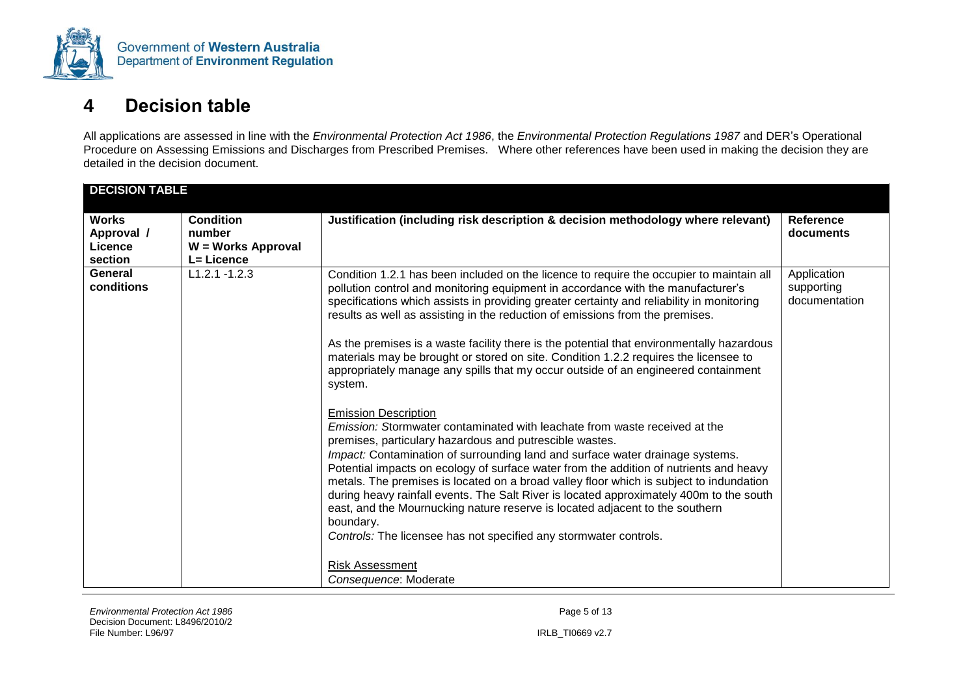

# **4 Decision table**

All applications are assessed in line with the *Environmental Protection Act 1986*, the *Environmental Protection Regulations 1987* and DER's Operational Procedure on Assessing Emissions and Discharges from Prescribed Premises. Where other references have been used in making the decision they are detailed in the decision document.

<span id="page-20-0"></span>

| <b>DECISION TABLE</b>                            |                                                                |                                                                                                                                                                                                                                                                                                                                                                                                                                                                                                                                                                                                                                                                                                                                                                                                                                                                                                                                                                                                                                                                                                                                                                                                                                                                                                                                                                                              |                                            |
|--------------------------------------------------|----------------------------------------------------------------|----------------------------------------------------------------------------------------------------------------------------------------------------------------------------------------------------------------------------------------------------------------------------------------------------------------------------------------------------------------------------------------------------------------------------------------------------------------------------------------------------------------------------------------------------------------------------------------------------------------------------------------------------------------------------------------------------------------------------------------------------------------------------------------------------------------------------------------------------------------------------------------------------------------------------------------------------------------------------------------------------------------------------------------------------------------------------------------------------------------------------------------------------------------------------------------------------------------------------------------------------------------------------------------------------------------------------------------------------------------------------------------------|--------------------------------------------|
| <b>Works</b><br>Approval /<br>Licence<br>section | <b>Condition</b><br>number<br>W = Works Approval<br>L= Licence | Justification (including risk description & decision methodology where relevant)                                                                                                                                                                                                                                                                                                                                                                                                                                                                                                                                                                                                                                                                                                                                                                                                                                                                                                                                                                                                                                                                                                                                                                                                                                                                                                             | Reference<br>documents                     |
| General<br>conditions                            | $L1.2.1 - 1.2.3$                                               | Condition 1.2.1 has been included on the licence to require the occupier to maintain all<br>pollution control and monitoring equipment in accordance with the manufacturer's<br>specifications which assists in providing greater certainty and reliability in monitoring<br>results as well as assisting in the reduction of emissions from the premises.<br>As the premises is a waste facility there is the potential that environmentally hazardous<br>materials may be brought or stored on site. Condition 1.2.2 requires the licensee to<br>appropriately manage any spills that my occur outside of an engineered containment<br>system.<br><b>Emission Description</b><br><i>Emission:</i> Stormwater contaminated with leachate from waste received at the<br>premises, particulary hazardous and putrescible wastes.<br>Impact: Contamination of surrounding land and surface water drainage systems.<br>Potential impacts on ecology of surface water from the addition of nutrients and heavy<br>metals. The premises is located on a broad valley floor which is subject to indundation<br>during heavy rainfall events. The Salt River is located approximately 400m to the south<br>east, and the Mournucking nature reserve is located adjacent to the southern<br>boundary.<br>Controls: The licensee has not specified any stormwater controls.<br><b>Risk Assessment</b> | Application<br>supporting<br>documentation |
|                                                  |                                                                | Consequence: Moderate                                                                                                                                                                                                                                                                                                                                                                                                                                                                                                                                                                                                                                                                                                                                                                                                                                                                                                                                                                                                                                                                                                                                                                                                                                                                                                                                                                        |                                            |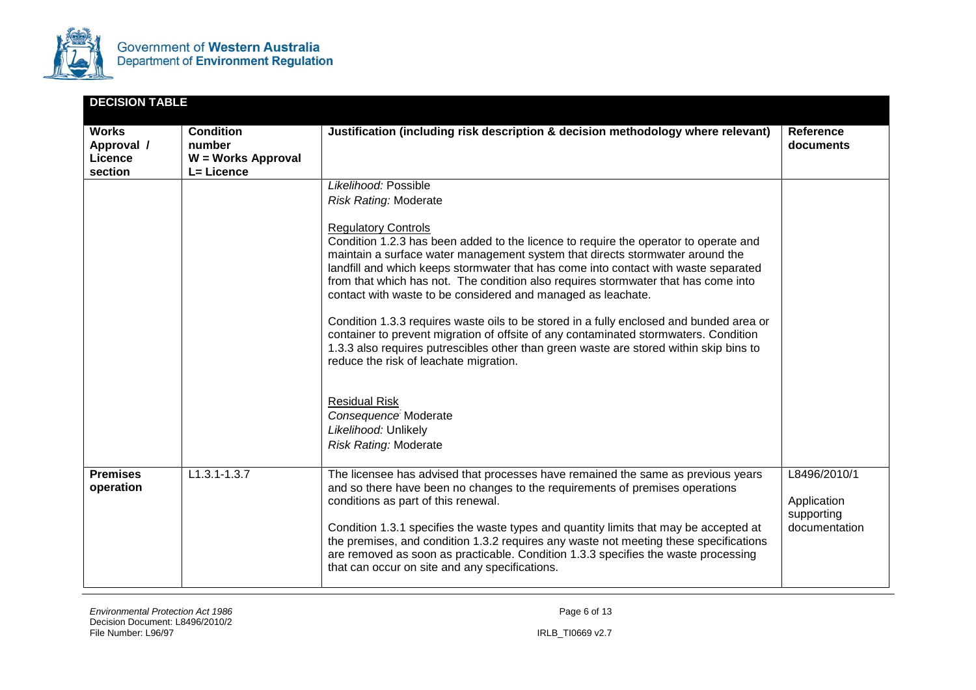

| <b>DECISION TABLE</b>                            |                                                                |                                                                                                                                                                                                                                                                                                                                                                                                                                                                                                                                                                                                                                                                                                                                                                                                                                                                                                                                         |                                                            |
|--------------------------------------------------|----------------------------------------------------------------|-----------------------------------------------------------------------------------------------------------------------------------------------------------------------------------------------------------------------------------------------------------------------------------------------------------------------------------------------------------------------------------------------------------------------------------------------------------------------------------------------------------------------------------------------------------------------------------------------------------------------------------------------------------------------------------------------------------------------------------------------------------------------------------------------------------------------------------------------------------------------------------------------------------------------------------------|------------------------------------------------------------|
| <b>Works</b><br>Approval /<br>Licence<br>section | <b>Condition</b><br>number<br>W = Works Approval<br>L= Licence | Justification (including risk description & decision methodology where relevant)                                                                                                                                                                                                                                                                                                                                                                                                                                                                                                                                                                                                                                                                                                                                                                                                                                                        | <b>Reference</b><br>documents                              |
|                                                  |                                                                | Likelihood: Possible<br><b>Risk Rating: Moderate</b><br><b>Regulatory Controls</b><br>Condition 1.2.3 has been added to the licence to require the operator to operate and<br>maintain a surface water management system that directs stormwater around the<br>landfill and which keeps stormwater that has come into contact with waste separated<br>from that which has not. The condition also requires stormwater that has come into<br>contact with waste to be considered and managed as leachate.<br>Condition 1.3.3 requires waste oils to be stored in a fully enclosed and bunded area or<br>container to prevent migration of offsite of any contaminated stormwaters. Condition<br>1.3.3 also requires putrescibles other than green waste are stored within skip bins to<br>reduce the risk of leachate migration.<br><b>Residual Risk</b><br>Consequence Moderate<br>Likelihood: Unlikely<br><b>Risk Rating: Moderate</b> |                                                            |
| <b>Premises</b><br>operation                     | $L1.3.1 - 1.3.7$                                               | The licensee has advised that processes have remained the same as previous years<br>and so there have been no changes to the requirements of premises operations<br>conditions as part of this renewal.<br>Condition 1.3.1 specifies the waste types and quantity limits that may be accepted at<br>the premises, and condition 1.3.2 requires any waste not meeting these specifications<br>are removed as soon as practicable. Condition 1.3.3 specifies the waste processing<br>that can occur on site and any specifications.                                                                                                                                                                                                                                                                                                                                                                                                       | L8496/2010/1<br>Application<br>supporting<br>documentation |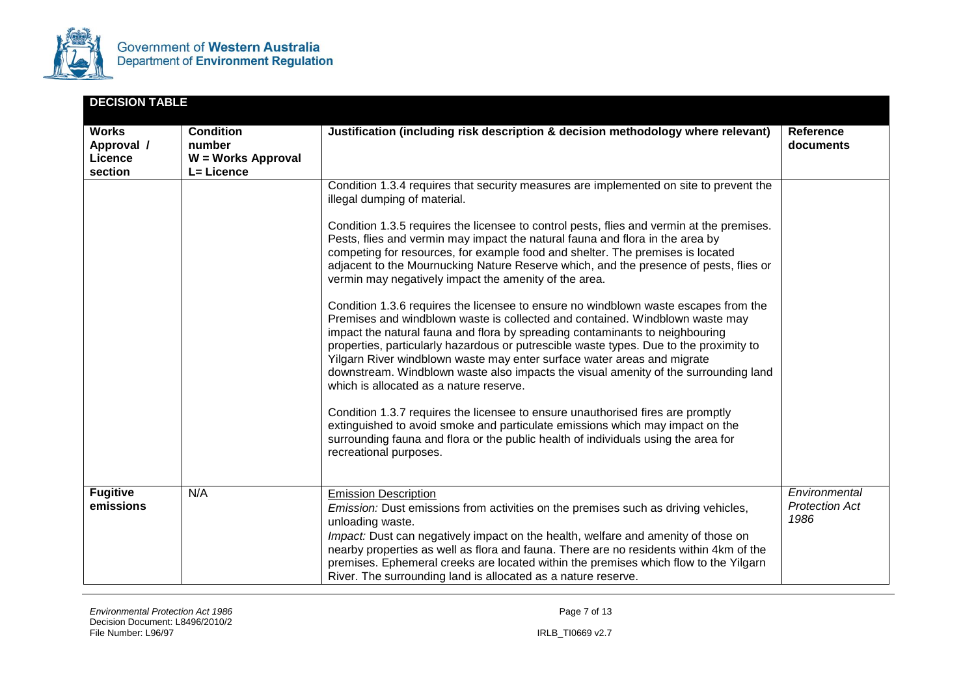

| <b>DECISION TABLE</b>                            |                                                                |                                                                                                                                                                                                                                                                                                                                                                                                                                                                                                                                                                                                                                                                                                                                                                                                                                                                                                                                                                                                                                                                                                                                                                                                                                                                                                                                                                                            |                                                |
|--------------------------------------------------|----------------------------------------------------------------|--------------------------------------------------------------------------------------------------------------------------------------------------------------------------------------------------------------------------------------------------------------------------------------------------------------------------------------------------------------------------------------------------------------------------------------------------------------------------------------------------------------------------------------------------------------------------------------------------------------------------------------------------------------------------------------------------------------------------------------------------------------------------------------------------------------------------------------------------------------------------------------------------------------------------------------------------------------------------------------------------------------------------------------------------------------------------------------------------------------------------------------------------------------------------------------------------------------------------------------------------------------------------------------------------------------------------------------------------------------------------------------------|------------------------------------------------|
| <b>Works</b><br>Approval /<br>Licence<br>section | <b>Condition</b><br>number<br>W = Works Approval<br>L= Licence | Justification (including risk description & decision methodology where relevant)                                                                                                                                                                                                                                                                                                                                                                                                                                                                                                                                                                                                                                                                                                                                                                                                                                                                                                                                                                                                                                                                                                                                                                                                                                                                                                           | <b>Reference</b><br>documents                  |
|                                                  |                                                                | Condition 1.3.4 requires that security measures are implemented on site to prevent the<br>illegal dumping of material.<br>Condition 1.3.5 requires the licensee to control pests, flies and vermin at the premises.<br>Pests, flies and vermin may impact the natural fauna and flora in the area by<br>competing for resources, for example food and shelter. The premises is located<br>adjacent to the Mournucking Nature Reserve which, and the presence of pests, flies or<br>vermin may negatively impact the amenity of the area.<br>Condition 1.3.6 requires the licensee to ensure no windblown waste escapes from the<br>Premises and windblown waste is collected and contained. Windblown waste may<br>impact the natural fauna and flora by spreading contaminants to neighbouring<br>properties, particularly hazardous or putrescible waste types. Due to the proximity to<br>Yilgarn River windblown waste may enter surface water areas and migrate<br>downstream. Windblown waste also impacts the visual amenity of the surrounding land<br>which is allocated as a nature reserve.<br>Condition 1.3.7 requires the licensee to ensure unauthorised fires are promptly<br>extinguished to avoid smoke and particulate emissions which may impact on the<br>surrounding fauna and flora or the public health of individuals using the area for<br>recreational purposes. |                                                |
| <b>Fugitive</b><br>emissions                     | N/A                                                            | <b>Emission Description</b><br>Emission: Dust emissions from activities on the premises such as driving vehicles,<br>unloading waste.<br>Impact: Dust can negatively impact on the health, welfare and amenity of those on<br>nearby properties as well as flora and fauna. There are no residents within 4km of the<br>premises. Ephemeral creeks are located within the premises which flow to the Yilgarn<br>River. The surrounding land is allocated as a nature reserve.                                                                                                                                                                                                                                                                                                                                                                                                                                                                                                                                                                                                                                                                                                                                                                                                                                                                                                              | Environmental<br><b>Protection Act</b><br>1986 |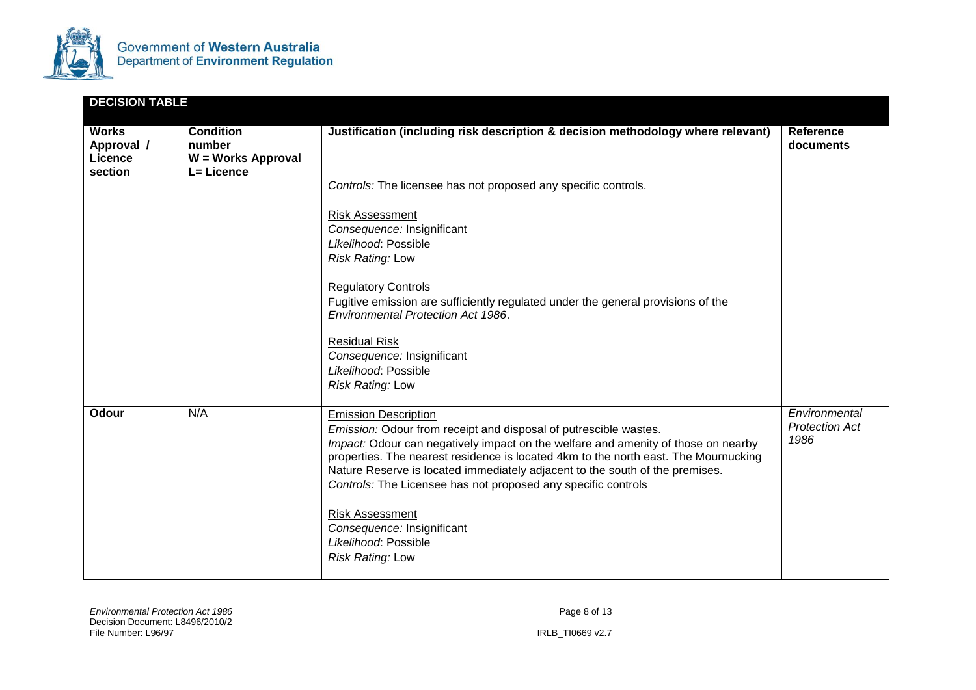

| <b>DECISION TABLE</b>                            |                                                                |                                                                                                                                                                                                                                                                                                                                                                                                                                                                                                                                         |                                                |
|--------------------------------------------------|----------------------------------------------------------------|-----------------------------------------------------------------------------------------------------------------------------------------------------------------------------------------------------------------------------------------------------------------------------------------------------------------------------------------------------------------------------------------------------------------------------------------------------------------------------------------------------------------------------------------|------------------------------------------------|
| <b>Works</b><br>Approval /<br>Licence<br>section | <b>Condition</b><br>number<br>W = Works Approval<br>L= Licence | Justification (including risk description & decision methodology where relevant)                                                                                                                                                                                                                                                                                                                                                                                                                                                        | Reference<br>documents                         |
|                                                  |                                                                | Controls: The licensee has not proposed any specific controls.<br><b>Risk Assessment</b><br>Consequence: Insignificant<br>Likelihood: Possible<br>Risk Rating: Low<br><b>Regulatory Controls</b><br>Fugitive emission are sufficiently regulated under the general provisions of the<br><b>Environmental Protection Act 1986.</b><br><b>Residual Risk</b><br>Consequence: Insignificant<br>Likelihood: Possible<br>Risk Rating: Low                                                                                                     |                                                |
| Odour                                            | N/A                                                            | <b>Emission Description</b><br>Emission: Odour from receipt and disposal of putrescible wastes.<br>Impact: Odour can negatively impact on the welfare and amenity of those on nearby<br>properties. The nearest residence is located 4km to the north east. The Mournucking<br>Nature Reserve is located immediately adjacent to the south of the premises.<br>Controls: The Licensee has not proposed any specific controls<br><b>Risk Assessment</b><br>Consequence: Insignificant<br>Likelihood: Possible<br><b>Risk Rating: Low</b> | Environmental<br><b>Protection Act</b><br>1986 |

IRLB\_TI0669 v2.7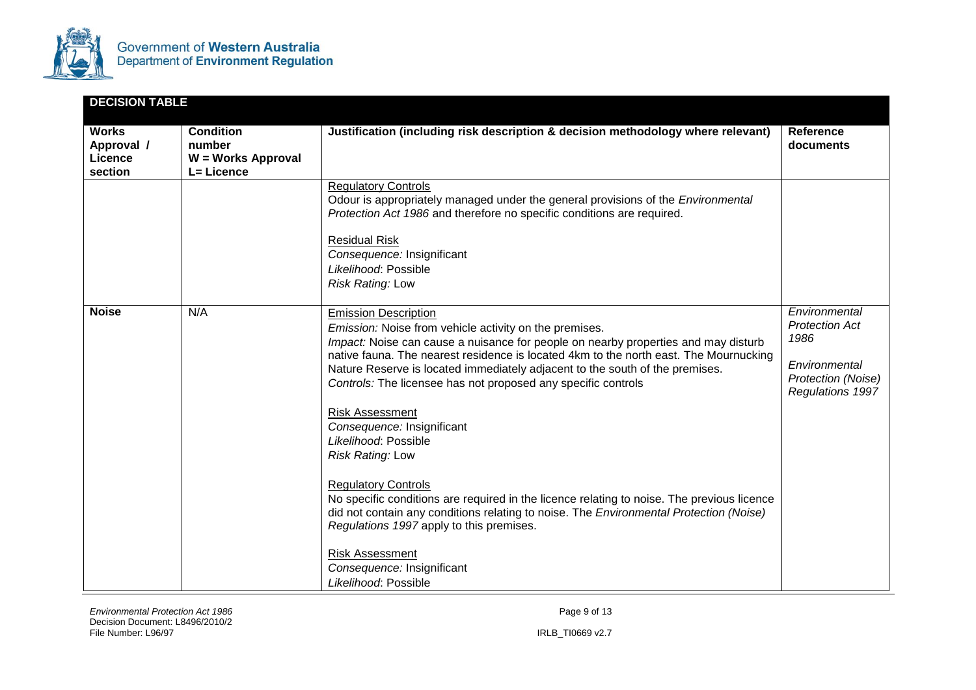

| <b>DECISION TABLE</b>                            |                                                                |                                                                                                                                                                                                                                                                                                                                                                                                                                                                                                                                                                                                                                                                                                                                                                                                                                                                                    |                                                                                                           |
|--------------------------------------------------|----------------------------------------------------------------|------------------------------------------------------------------------------------------------------------------------------------------------------------------------------------------------------------------------------------------------------------------------------------------------------------------------------------------------------------------------------------------------------------------------------------------------------------------------------------------------------------------------------------------------------------------------------------------------------------------------------------------------------------------------------------------------------------------------------------------------------------------------------------------------------------------------------------------------------------------------------------|-----------------------------------------------------------------------------------------------------------|
| <b>Works</b><br>Approval /<br>Licence<br>section | <b>Condition</b><br>number<br>W = Works Approval<br>L= Licence | Justification (including risk description & decision methodology where relevant)                                                                                                                                                                                                                                                                                                                                                                                                                                                                                                                                                                                                                                                                                                                                                                                                   | Reference<br>documents                                                                                    |
|                                                  |                                                                | <b>Regulatory Controls</b><br>Odour is appropriately managed under the general provisions of the <i>Environmental</i><br>Protection Act 1986 and therefore no specific conditions are required.<br><b>Residual Risk</b><br>Consequence: Insignificant<br>Likelihood: Possible<br><b>Risk Rating: Low</b>                                                                                                                                                                                                                                                                                                                                                                                                                                                                                                                                                                           |                                                                                                           |
| <b>Noise</b>                                     | N/A                                                            | <b>Emission Description</b><br>Emission: Noise from vehicle activity on the premises.<br>Impact: Noise can cause a nuisance for people on nearby properties and may disturb<br>native fauna. The nearest residence is located 4km to the north east. The Mournucking<br>Nature Reserve is located immediately adjacent to the south of the premises.<br>Controls: The licensee has not proposed any specific controls<br><b>Risk Assessment</b><br>Consequence: Insignificant<br>Likelihood: Possible<br><b>Risk Rating: Low</b><br><b>Regulatory Controls</b><br>No specific conditions are required in the licence relating to noise. The previous licence<br>did not contain any conditions relating to noise. The Environmental Protection (Noise)<br>Regulations 1997 apply to this premises.<br><b>Risk Assessment</b><br>Consequence: Insignificant<br>Likelihood: Possible | Environmental<br><b>Protection Act</b><br>1986<br>Environmental<br>Protection (Noise)<br>Regulations 1997 |

IRLB\_TI0669 v2.7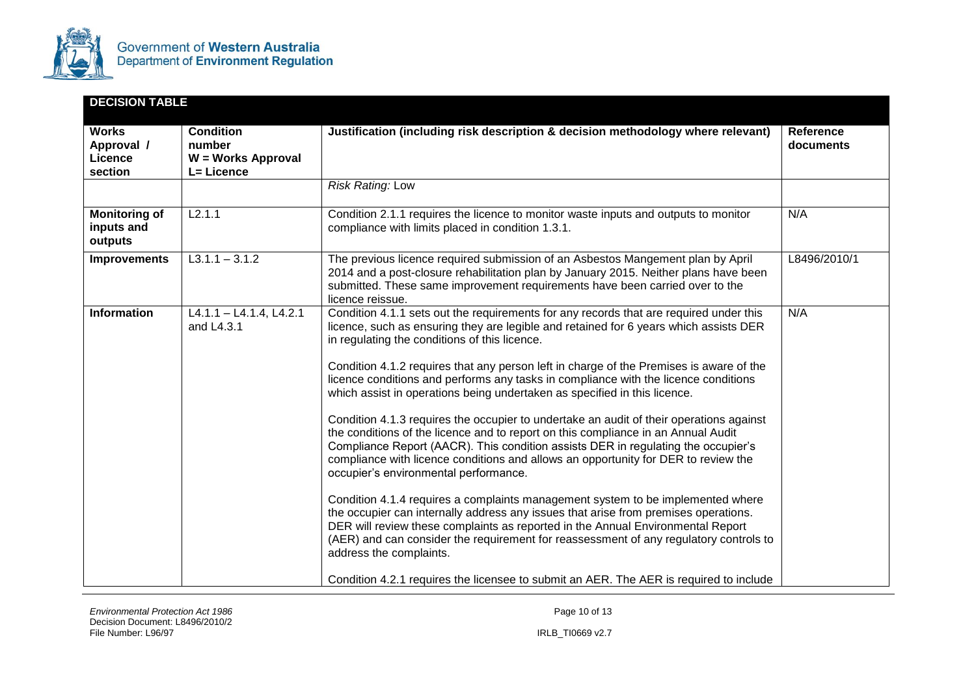

| <b>DECISION TABLE</b>                            |                                                                |                                                                                                                                                                                                                                                                                                                                                                                                                                                                                                                                                                                                                                                                                                                                                                                                                                                                                                                                                                                                                                                                                                                                                                                                                                                                                                                                                                                |                               |
|--------------------------------------------------|----------------------------------------------------------------|--------------------------------------------------------------------------------------------------------------------------------------------------------------------------------------------------------------------------------------------------------------------------------------------------------------------------------------------------------------------------------------------------------------------------------------------------------------------------------------------------------------------------------------------------------------------------------------------------------------------------------------------------------------------------------------------------------------------------------------------------------------------------------------------------------------------------------------------------------------------------------------------------------------------------------------------------------------------------------------------------------------------------------------------------------------------------------------------------------------------------------------------------------------------------------------------------------------------------------------------------------------------------------------------------------------------------------------------------------------------------------|-------------------------------|
| <b>Works</b><br>Approval /<br>Licence<br>section | <b>Condition</b><br>number<br>W = Works Approval<br>L= Licence | Justification (including risk description & decision methodology where relevant)<br>Risk Rating: Low                                                                                                                                                                                                                                                                                                                                                                                                                                                                                                                                                                                                                                                                                                                                                                                                                                                                                                                                                                                                                                                                                                                                                                                                                                                                           | <b>Reference</b><br>documents |
|                                                  |                                                                |                                                                                                                                                                                                                                                                                                                                                                                                                                                                                                                                                                                                                                                                                                                                                                                                                                                                                                                                                                                                                                                                                                                                                                                                                                                                                                                                                                                |                               |
| <b>Monitoring of</b><br>inputs and<br>outputs    | L2.1.1                                                         | Condition 2.1.1 requires the licence to monitor waste inputs and outputs to monitor<br>compliance with limits placed in condition 1.3.1.                                                                                                                                                                                                                                                                                                                                                                                                                                                                                                                                                                                                                                                                                                                                                                                                                                                                                                                                                                                                                                                                                                                                                                                                                                       | N/A                           |
| <b>Improvements</b>                              | $L3.1.1 - 3.1.2$                                               | The previous licence required submission of an Asbestos Mangement plan by April<br>2014 and a post-closure rehabilitation plan by January 2015. Neither plans have been<br>submitted. These same improvement requirements have been carried over to the<br>licence reissue.                                                                                                                                                                                                                                                                                                                                                                                                                                                                                                                                                                                                                                                                                                                                                                                                                                                                                                                                                                                                                                                                                                    | L8496/2010/1                  |
| <b>Information</b>                               | $L4.1.1 - L4.1.4, L4.2.1$<br>and L4.3.1                        | Condition 4.1.1 sets out the requirements for any records that are required under this<br>licence, such as ensuring they are legible and retained for 6 years which assists DER<br>in regulating the conditions of this licence.<br>Condition 4.1.2 requires that any person left in charge of the Premises is aware of the<br>licence conditions and performs any tasks in compliance with the licence conditions<br>which assist in operations being undertaken as specified in this licence.<br>Condition 4.1.3 requires the occupier to undertake an audit of their operations against<br>the conditions of the licence and to report on this compliance in an Annual Audit<br>Compliance Report (AACR). This condition assists DER in regulating the occupier's<br>compliance with licence conditions and allows an opportunity for DER to review the<br>occupier's environmental performance.<br>Condition 4.1.4 requires a complaints management system to be implemented where<br>the occupier can internally address any issues that arise from premises operations.<br>DER will review these complaints as reported in the Annual Environmental Report<br>(AER) and can consider the requirement for reassessment of any regulatory controls to<br>address the complaints.<br>Condition 4.2.1 requires the licensee to submit an AER. The AER is required to include | N/A                           |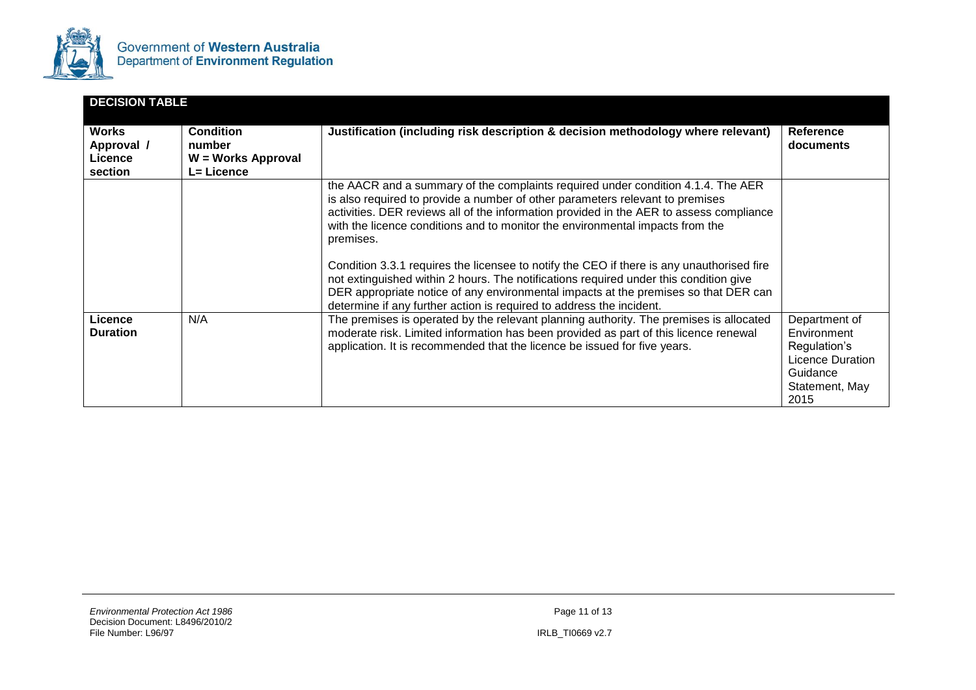

| <b>DECISION TABLE</b>                     |                                                                |                                                                                                                                                                                                                                                                                                                                                                                                                                                                                                                                                                                                                                                                                                                 |                                                                                                        |
|-------------------------------------------|----------------------------------------------------------------|-----------------------------------------------------------------------------------------------------------------------------------------------------------------------------------------------------------------------------------------------------------------------------------------------------------------------------------------------------------------------------------------------------------------------------------------------------------------------------------------------------------------------------------------------------------------------------------------------------------------------------------------------------------------------------------------------------------------|--------------------------------------------------------------------------------------------------------|
| Works<br>Approval /<br>Licence<br>section | <b>Condition</b><br>number<br>W = Works Approval<br>L= Licence | Justification (including risk description & decision methodology where relevant)                                                                                                                                                                                                                                                                                                                                                                                                                                                                                                                                                                                                                                | <b>Reference</b><br>documents                                                                          |
|                                           |                                                                | the AACR and a summary of the complaints required under condition 4.1.4. The AER<br>is also required to provide a number of other parameters relevant to premises<br>activities. DER reviews all of the information provided in the AER to assess compliance<br>with the licence conditions and to monitor the environmental impacts from the<br>premises.<br>Condition 3.3.1 requires the licensee to notify the CEO if there is any unauthorised fire<br>not extinguished within 2 hours. The notifications required under this condition give<br>DER appropriate notice of any environmental impacts at the premises so that DER can<br>determine if any further action is required to address the incident. |                                                                                                        |
| Licence<br><b>Duration</b>                | N/A                                                            | The premises is operated by the relevant planning authority. The premises is allocated<br>moderate risk. Limited information has been provided as part of this licence renewal<br>application. It is recommended that the licence be issued for five years.                                                                                                                                                                                                                                                                                                                                                                                                                                                     | Department of<br>Environment<br>Regulation's<br>Licence Duration<br>Guidance<br>Statement, May<br>2015 |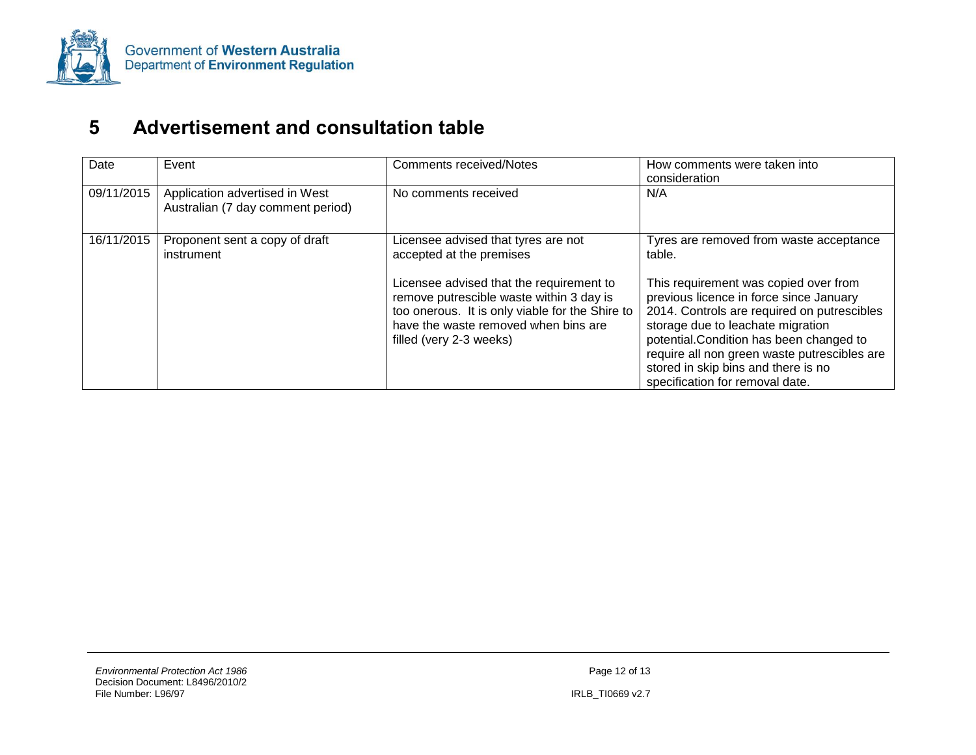

# **5 Advertisement and consultation table**

<span id="page-27-0"></span>

| Date       | Event                                                               | <b>Comments received/Notes</b>                                                                                                                                                                             | How comments were taken into<br>consideration                                                                                                                                                                                                                                                                                              |
|------------|---------------------------------------------------------------------|------------------------------------------------------------------------------------------------------------------------------------------------------------------------------------------------------------|--------------------------------------------------------------------------------------------------------------------------------------------------------------------------------------------------------------------------------------------------------------------------------------------------------------------------------------------|
| 09/11/2015 | Application advertised in West<br>Australian (7 day comment period) | No comments received                                                                                                                                                                                       | N/A                                                                                                                                                                                                                                                                                                                                        |
| 16/11/2015 | Proponent sent a copy of draft<br>instrument                        | Licensee advised that tyres are not<br>accepted at the premises                                                                                                                                            | Tyres are removed from waste acceptance<br>table.                                                                                                                                                                                                                                                                                          |
|            |                                                                     | Licensee advised that the requirement to<br>remove putrescible waste within 3 day is<br>too onerous. It is only viable for the Shire to<br>have the waste removed when bins are<br>filled (very 2-3 weeks) | This requirement was copied over from<br>previous licence in force since January<br>2014. Controls are required on putrescibles<br>storage due to leachate migration<br>potential. Condition has been changed to<br>require all non green waste putrescibles are<br>stored in skip bins and there is no<br>specification for removal date. |